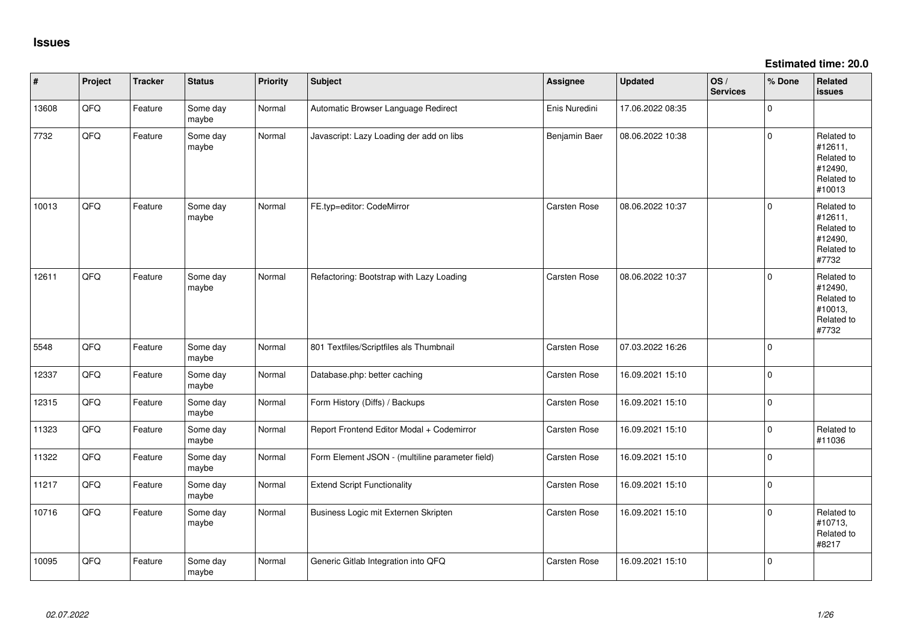**Estimated time: 20.0**

| #     | Project | <b>Tracker</b> | <b>Status</b>     | <b>Priority</b> | <b>Subject</b>                                  | Assignee      | <b>Updated</b>   | OS/<br><b>Services</b> | % Done      | Related<br>issues                                                      |
|-------|---------|----------------|-------------------|-----------------|-------------------------------------------------|---------------|------------------|------------------------|-------------|------------------------------------------------------------------------|
| 13608 | QFQ     | Feature        | Some day<br>maybe | Normal          | Automatic Browser Language Redirect             | Enis Nuredini | 17.06.2022 08:35 |                        | 0           |                                                                        |
| 7732  | QFG     | Feature        | Some day<br>maybe | Normal          | Javascript: Lazy Loading der add on libs        | Benjamin Baer | 08.06.2022 10:38 |                        | 0           | Related to<br>#12611,<br>Related to<br>#12490,<br>Related to<br>#10013 |
| 10013 | QFQ     | Feature        | Some day<br>maybe | Normal          | FE.typ=editor: CodeMirror                       | Carsten Rose  | 08.06.2022 10:37 |                        | 0           | Related to<br>#12611,<br>Related to<br>#12490,<br>Related to<br>#7732  |
| 12611 | QFQ     | Feature        | Some day<br>maybe | Normal          | Refactoring: Bootstrap with Lazy Loading        | Carsten Rose  | 08.06.2022 10:37 |                        | 0           | Related to<br>#12490,<br>Related to<br>#10013,<br>Related to<br>#7732  |
| 5548  | QFQ     | Feature        | Some day<br>maybe | Normal          | 801 Textfiles/Scriptfiles als Thumbnail         | Carsten Rose  | 07.03.2022 16:26 |                        | $\mathbf 0$ |                                                                        |
| 12337 | QFQ     | Feature        | Some day<br>maybe | Normal          | Database.php: better caching                    | Carsten Rose  | 16.09.2021 15:10 |                        | 0           |                                                                        |
| 12315 | QFG     | Feature        | Some day<br>maybe | Normal          | Form History (Diffs) / Backups                  | Carsten Rose  | 16.09.2021 15:10 |                        | 0           |                                                                        |
| 11323 | QFQ     | Feature        | Some day<br>maybe | Normal          | Report Frontend Editor Modal + Codemirror       | Carsten Rose  | 16.09.2021 15:10 |                        | $\mathbf 0$ | Related to<br>#11036                                                   |
| 11322 | QFQ     | Feature        | Some day<br>maybe | Normal          | Form Element JSON - (multiline parameter field) | Carsten Rose  | 16.09.2021 15:10 |                        | $\mathbf 0$ |                                                                        |
| 11217 | QFQ     | Feature        | Some day<br>maybe | Normal          | <b>Extend Script Functionality</b>              | Carsten Rose  | 16.09.2021 15:10 |                        | $\mathbf 0$ |                                                                        |
| 10716 | QFQ     | Feature        | Some day<br>maybe | Normal          | Business Logic mit Externen Skripten            | Carsten Rose  | 16.09.2021 15:10 |                        | $\mathbf 0$ | Related to<br>#10713,<br>Related to<br>#8217                           |
| 10095 | QFQ     | Feature        | Some day<br>maybe | Normal          | Generic Gitlab Integration into QFQ             | Carsten Rose  | 16.09.2021 15:10 |                        | 0           |                                                                        |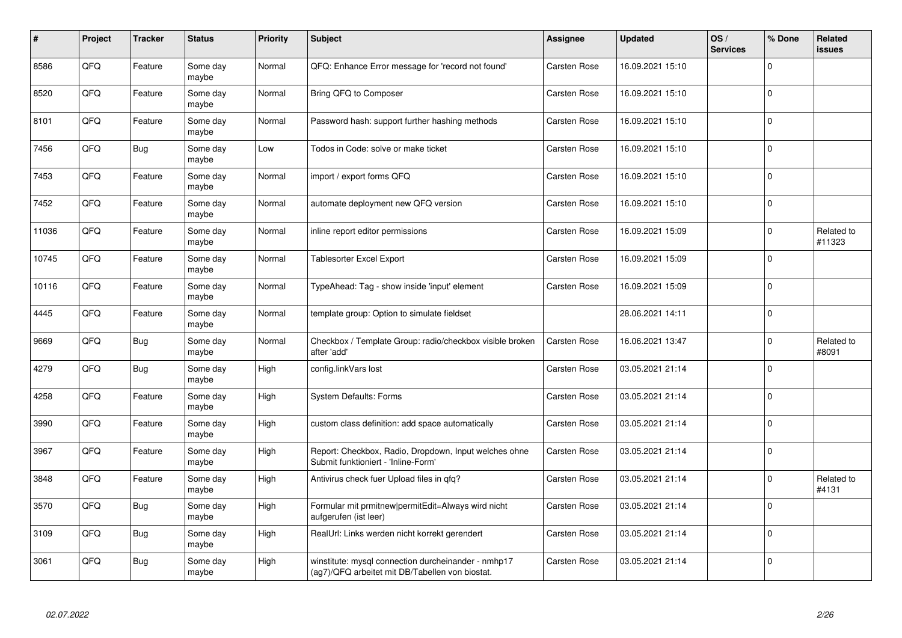| #     | Project | <b>Tracker</b> | <b>Status</b>     | <b>Priority</b> | Subject                                                                                                | <b>Assignee</b>     | <b>Updated</b>   | OS/<br><b>Services</b> | % Done                    | Related<br><b>issues</b> |
|-------|---------|----------------|-------------------|-----------------|--------------------------------------------------------------------------------------------------------|---------------------|------------------|------------------------|---------------------------|--------------------------|
| 8586  | QFQ     | Feature        | Some day<br>maybe | Normal          | QFQ: Enhance Error message for 'record not found'                                                      | <b>Carsten Rose</b> | 16.09.2021 15:10 |                        | $\Omega$                  |                          |
| 8520  | QFQ     | Feature        | Some day<br>maybe | Normal          | Bring QFQ to Composer                                                                                  | Carsten Rose        | 16.09.2021 15:10 |                        | $\mathbf 0$               |                          |
| 8101  | QFQ     | Feature        | Some day<br>maybe | Normal          | Password hash: support further hashing methods                                                         | Carsten Rose        | 16.09.2021 15:10 |                        | 0                         |                          |
| 7456  | QFQ     | <b>Bug</b>     | Some day<br>maybe | Low             | Todos in Code: solve or make ticket                                                                    | Carsten Rose        | 16.09.2021 15:10 |                        | $\overline{0}$            |                          |
| 7453  | QFQ     | Feature        | Some day<br>maybe | Normal          | import / export forms QFQ                                                                              | Carsten Rose        | 16.09.2021 15:10 |                        | 0                         |                          |
| 7452  | QFQ     | Feature        | Some day<br>maybe | Normal          | automate deployment new QFQ version                                                                    | Carsten Rose        | 16.09.2021 15:10 |                        | $\overline{0}$            |                          |
| 11036 | QFQ     | Feature        | Some day<br>maybe | Normal          | inline report editor permissions                                                                       | Carsten Rose        | 16.09.2021 15:09 |                        | 0                         | Related to<br>#11323     |
| 10745 | QFQ     | Feature        | Some day<br>maybe | Normal          | Tablesorter Excel Export                                                                               | <b>Carsten Rose</b> | 16.09.2021 15:09 |                        | $\Omega$                  |                          |
| 10116 | QFQ     | Feature        | Some day<br>maybe | Normal          | TypeAhead: Tag - show inside 'input' element                                                           | Carsten Rose        | 16.09.2021 15:09 |                        | 0                         |                          |
| 4445  | QFQ     | Feature        | Some dav<br>maybe | Normal          | template group: Option to simulate fieldset                                                            |                     | 28.06.2021 14:11 |                        | $\overline{0}$            |                          |
| 9669  | QFQ     | Bug            | Some day<br>maybe | Normal          | Checkbox / Template Group: radio/checkbox visible broken<br>after 'add'                                | <b>Carsten Rose</b> | 16.06.2021 13:47 |                        | $\mathbf{0}^{\mathbf{1}}$ | Related to<br>#8091      |
| 4279  | QFQ     | Bug            | Some day<br>maybe | High            | config.linkVars lost                                                                                   | Carsten Rose        | 03.05.2021 21:14 |                        | $\overline{0}$            |                          |
| 4258  | QFQ     | Feature        | Some day<br>maybe | High            | <b>System Defaults: Forms</b>                                                                          | Carsten Rose        | 03.05.2021 21:14 |                        | 0                         |                          |
| 3990  | QFQ     | Feature        | Some day<br>maybe | High            | custom class definition: add space automatically                                                       | Carsten Rose        | 03.05.2021 21:14 |                        | 0                         |                          |
| 3967  | QFQ     | Feature        | Some day<br>maybe | High            | Report: Checkbox, Radio, Dropdown, Input welches ohne<br>Submit funktioniert - 'Inline-Form'           | Carsten Rose        | 03.05.2021 21:14 |                        | $\mathbf 0$               |                          |
| 3848  | QFQ     | Feature        | Some day<br>maybe | High            | Antivirus check fuer Upload files in qfq?                                                              | Carsten Rose        | 03.05.2021 21:14 |                        | $\Omega$                  | Related to<br>#4131      |
| 3570  | QFQ     | Bug            | Some day<br>maybe | High            | Formular mit prmitnew permitEdit=Always wird nicht<br>aufgerufen (ist leer)                            | Carsten Rose        | 03.05.2021 21:14 |                        | $\mathbf 0$               |                          |
| 3109  | QFQ     | <b>Bug</b>     | Some day<br>maybe | High            | RealUrl: Links werden nicht korrekt gerendert                                                          | Carsten Rose        | 03.05.2021 21:14 |                        | $\overline{0}$            |                          |
| 3061  | QFQ     | <b>Bug</b>     | Some day<br>maybe | High            | winstitute: mysql connection durcheinander - nmhp17<br>(ag7)/QFQ arbeitet mit DB/Tabellen von biostat. | Carsten Rose        | 03.05.2021 21:14 |                        | $\overline{0}$            |                          |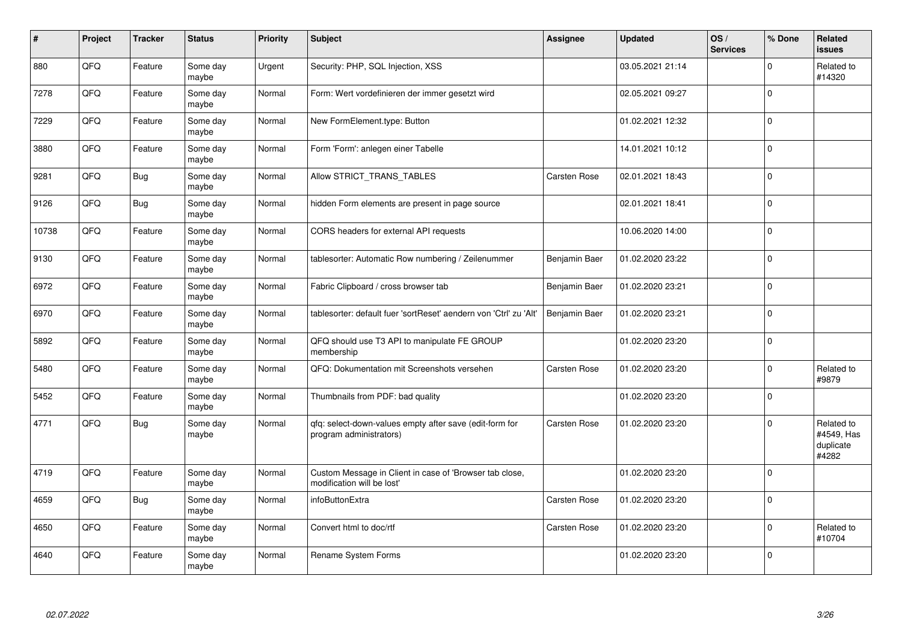| $\sharp$ | Project | <b>Tracker</b> | <b>Status</b>     | <b>Priority</b> | <b>Subject</b>                                                                        | Assignee      | <b>Updated</b>   | OS/<br><b>Services</b> | % Done      | Related<br><b>issues</b>                       |
|----------|---------|----------------|-------------------|-----------------|---------------------------------------------------------------------------------------|---------------|------------------|------------------------|-------------|------------------------------------------------|
| 880      | QFQ     | Feature        | Some day<br>maybe | Urgent          | Security: PHP, SQL Injection, XSS                                                     |               | 03.05.2021 21:14 |                        | $\mathbf 0$ | Related to<br>#14320                           |
| 7278     | QFQ     | Feature        | Some day<br>maybe | Normal          | Form: Wert vordefinieren der immer gesetzt wird                                       |               | 02.05.2021 09:27 |                        | $\pmb{0}$   |                                                |
| 7229     | QFQ     | Feature        | Some day<br>maybe | Normal          | New FormElement.type: Button                                                          |               | 01.02.2021 12:32 |                        | $\pmb{0}$   |                                                |
| 3880     | QFQ     | Feature        | Some day<br>maybe | Normal          | Form 'Form': anlegen einer Tabelle                                                    |               | 14.01.2021 10:12 |                        | $\mathbf 0$ |                                                |
| 9281     | QFQ     | <b>Bug</b>     | Some day<br>maybe | Normal          | Allow STRICT_TRANS_TABLES                                                             | Carsten Rose  | 02.01.2021 18:43 |                        | $\mathbf 0$ |                                                |
| 9126     | QFQ     | <b>Bug</b>     | Some day<br>maybe | Normal          | hidden Form elements are present in page source                                       |               | 02.01.2021 18:41 |                        | $\pmb{0}$   |                                                |
| 10738    | QFQ     | Feature        | Some day<br>maybe | Normal          | CORS headers for external API requests                                                |               | 10.06.2020 14:00 |                        | $\pmb{0}$   |                                                |
| 9130     | QFQ     | Feature        | Some day<br>maybe | Normal          | tablesorter: Automatic Row numbering / Zeilenummer                                    | Benjamin Baer | 01.02.2020 23:22 |                        | $\mathbf 0$ |                                                |
| 6972     | QFQ     | Feature        | Some day<br>maybe | Normal          | Fabric Clipboard / cross browser tab                                                  | Benjamin Baer | 01.02.2020 23:21 |                        | $\mathbf 0$ |                                                |
| 6970     | QFQ     | Feature        | Some day<br>maybe | Normal          | tablesorter: default fuer 'sortReset' aendern von 'Ctrl' zu 'Alt'                     | Benjamin Baer | 01.02.2020 23:21 |                        | $\mathbf 0$ |                                                |
| 5892     | QFQ     | Feature        | Some day<br>maybe | Normal          | QFQ should use T3 API to manipulate FE GROUP<br>membership                            |               | 01.02.2020 23:20 |                        | $\mathbf 0$ |                                                |
| 5480     | QFQ     | Feature        | Some day<br>maybe | Normal          | QFQ: Dokumentation mit Screenshots versehen                                           | Carsten Rose  | 01.02.2020 23:20 |                        | $\pmb{0}$   | Related to<br>#9879                            |
| 5452     | QFQ     | Feature        | Some day<br>maybe | Normal          | Thumbnails from PDF: bad quality                                                      |               | 01.02.2020 23:20 |                        | $\pmb{0}$   |                                                |
| 4771     | QFQ     | <b>Bug</b>     | Some day<br>maybe | Normal          | qfq: select-down-values empty after save (edit-form for<br>program administrators)    | Carsten Rose  | 01.02.2020 23:20 |                        | $\mathbf 0$ | Related to<br>#4549, Has<br>duplicate<br>#4282 |
| 4719     | QFQ     | Feature        | Some day<br>maybe | Normal          | Custom Message in Client in case of 'Browser tab close,<br>modification will be lost' |               | 01.02.2020 23:20 |                        | $\mathbf 0$ |                                                |
| 4659     | QFQ     | Bug            | Some day<br>maybe | Normal          | infoButtonExtra                                                                       | Carsten Rose  | 01.02.2020 23:20 |                        | $\mathbf 0$ |                                                |
| 4650     | QFQ     | Feature        | Some day<br>maybe | Normal          | Convert html to doc/rtf                                                               | Carsten Rose  | 01.02.2020 23:20 |                        | $\mathbf 0$ | Related to<br>#10704                           |
| 4640     | QFQ     | Feature        | Some day<br>maybe | Normal          | Rename System Forms                                                                   |               | 01.02.2020 23:20 |                        | $\Omega$    |                                                |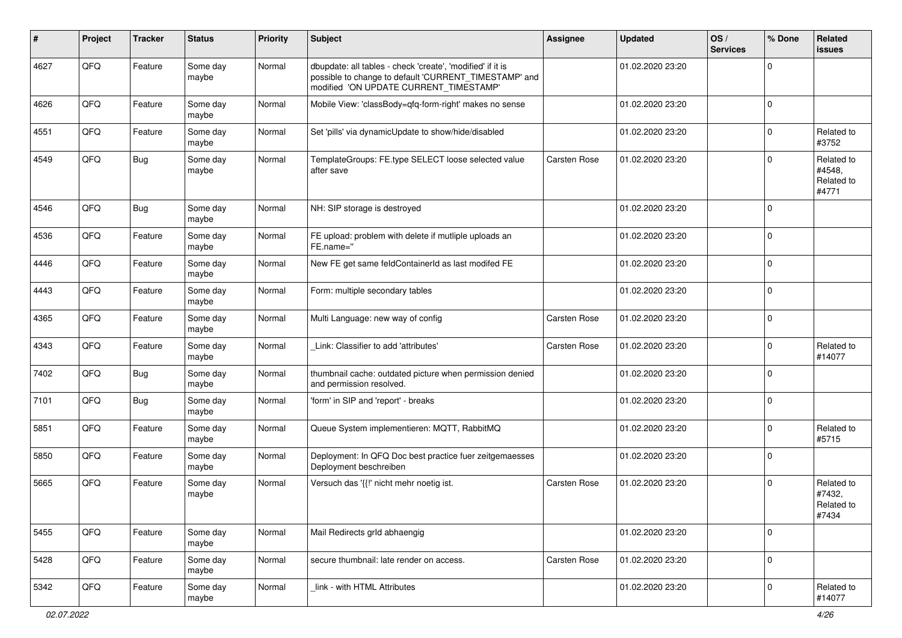| ∦    | Project | <b>Tracker</b> | <b>Status</b>     | <b>Priority</b> | <b>Subject</b>                                                                                                                                                | <b>Assignee</b>     | <b>Updated</b>   | OS/<br><b>Services</b> | % Done      | Related<br>issues                           |
|------|---------|----------------|-------------------|-----------------|---------------------------------------------------------------------------------------------------------------------------------------------------------------|---------------------|------------------|------------------------|-------------|---------------------------------------------|
| 4627 | QFQ     | Feature        | Some day<br>maybe | Normal          | dbupdate: all tables - check 'create', 'modified' if it is<br>possible to change to default 'CURRENT_TIMESTAMP' and<br>modified 'ON UPDATE CURRENT_TIMESTAMP' |                     | 01.02.2020 23:20 |                        | $\Omega$    |                                             |
| 4626 | QFQ     | Feature        | Some day<br>maybe | Normal          | Mobile View: 'classBody=qfq-form-right' makes no sense                                                                                                        |                     | 01.02.2020 23:20 |                        | $\Omega$    |                                             |
| 4551 | QFQ     | Feature        | Some day<br>maybe | Normal          | Set 'pills' via dynamicUpdate to show/hide/disabled                                                                                                           |                     | 01.02.2020 23:20 |                        | $\Omega$    | Related to<br>#3752                         |
| 4549 | QFQ     | <b>Bug</b>     | Some day<br>maybe | Normal          | TemplateGroups: FE.type SELECT loose selected value<br>after save                                                                                             | Carsten Rose        | 01.02.2020 23:20 |                        | $\Omega$    | Related to<br>#4548,<br>Related to<br>#4771 |
| 4546 | QFQ     | <b>Bug</b>     | Some day<br>maybe | Normal          | NH: SIP storage is destroyed                                                                                                                                  |                     | 01.02.2020 23:20 |                        | $\mathbf 0$ |                                             |
| 4536 | QFQ     | Feature        | Some day<br>maybe | Normal          | FE upload: problem with delete if mutliple uploads an<br>FE.name="                                                                                            |                     | 01.02.2020 23:20 |                        | $\Omega$    |                                             |
| 4446 | QFQ     | Feature        | Some day<br>maybe | Normal          | New FE get same feldContainerId as last modifed FE                                                                                                            |                     | 01.02.2020 23:20 |                        | $\Omega$    |                                             |
| 4443 | QFQ     | Feature        | Some day<br>maybe | Normal          | Form: multiple secondary tables                                                                                                                               |                     | 01.02.2020 23:20 |                        | $\Omega$    |                                             |
| 4365 | QFQ     | Feature        | Some day<br>maybe | Normal          | Multi Language: new way of config                                                                                                                             | Carsten Rose        | 01.02.2020 23:20 |                        | $\mathbf 0$ |                                             |
| 4343 | QFQ     | Feature        | Some day<br>maybe | Normal          | Link: Classifier to add 'attributes'                                                                                                                          | Carsten Rose        | 01.02.2020 23:20 |                        | $\Omega$    | Related to<br>#14077                        |
| 7402 | QFQ     | <b>Bug</b>     | Some day<br>maybe | Normal          | thumbnail cache: outdated picture when permission denied<br>and permission resolved.                                                                          |                     | 01.02.2020 23:20 |                        | $\mathbf 0$ |                                             |
| 7101 | QFQ     | <b>Bug</b>     | Some day<br>maybe | Normal          | 'form' in SIP and 'report' - breaks                                                                                                                           |                     | 01.02.2020 23:20 |                        | $\mathbf 0$ |                                             |
| 5851 | QFQ     | Feature        | Some day<br>maybe | Normal          | Queue System implementieren: MQTT, RabbitMQ                                                                                                                   |                     | 01.02.2020 23:20 |                        | $\Omega$    | Related to<br>#5715                         |
| 5850 | QFQ     | Feature        | Some day<br>maybe | Normal          | Deployment: In QFQ Doc best practice fuer zeitgemaesses<br>Deployment beschreiben                                                                             |                     | 01.02.2020 23:20 |                        | $\Omega$    |                                             |
| 5665 | QFQ     | Feature        | Some day<br>maybe | Normal          | Versuch das '{{!' nicht mehr noetig ist.                                                                                                                      | <b>Carsten Rose</b> | 01.02.2020 23:20 |                        | $\Omega$    | Related to<br>#7432,<br>Related to<br>#7434 |
| 5455 | QFQ     | Feature        | Some day<br>maybe | Normal          | Mail Redirects grld abhaengig                                                                                                                                 |                     | 01.02.2020 23:20 |                        | $\mathbf 0$ |                                             |
| 5428 | QFG     | Feature        | Some day<br>maybe | Normal          | secure thumbnail: late render on access.                                                                                                                      | Carsten Rose        | 01.02.2020 23:20 |                        | $\mathbf 0$ |                                             |
| 5342 | QFO     | Feature        | Some day<br>maybe | Normal          | link - with HTML Attributes                                                                                                                                   |                     | 01.02.2020 23:20 |                        | $\pmb{0}$   | Related to<br>#14077                        |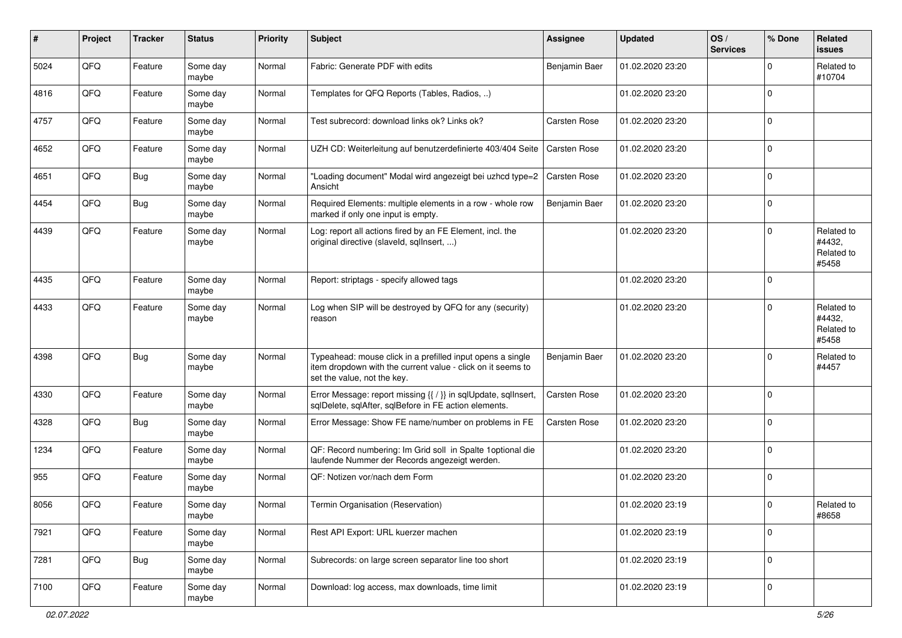| $\sharp$ | Project | <b>Tracker</b> | <b>Status</b>     | Priority | Subject                                                                                                                                                  | Assignee            | Updated          | OS/<br><b>Services</b> | % Done      | <b>Related</b><br>issues                    |
|----------|---------|----------------|-------------------|----------|----------------------------------------------------------------------------------------------------------------------------------------------------------|---------------------|------------------|------------------------|-------------|---------------------------------------------|
| 5024     | QFQ     | Feature        | Some day<br>maybe | Normal   | Fabric: Generate PDF with edits                                                                                                                          | Benjamin Baer       | 01.02.2020 23:20 |                        | $\Omega$    | Related to<br>#10704                        |
| 4816     | QFQ     | Feature        | Some day<br>maybe | Normal   | Templates for QFQ Reports (Tables, Radios, )                                                                                                             |                     | 01.02.2020 23:20 |                        | $\mathbf 0$ |                                             |
| 4757     | QFQ     | Feature        | Some day<br>maybe | Normal   | Test subrecord: download links ok? Links ok?                                                                                                             | Carsten Rose        | 01.02.2020 23:20 |                        | $\mathbf 0$ |                                             |
| 4652     | QFQ     | Feature        | Some day<br>maybe | Normal   | UZH CD: Weiterleitung auf benutzerdefinierte 403/404 Seite                                                                                               | Carsten Rose        | 01.02.2020 23:20 |                        | $\mathbf 0$ |                                             |
| 4651     | QFQ     | <b>Bug</b>     | Some day<br>maybe | Normal   | "Loading document" Modal wird angezeigt bei uzhcd type=2<br>Ansicht                                                                                      | <b>Carsten Rose</b> | 01.02.2020 23:20 |                        | $\mathbf 0$ |                                             |
| 4454     | QFQ     | <b>Bug</b>     | Some day<br>maybe | Normal   | Required Elements: multiple elements in a row - whole row<br>marked if only one input is empty.                                                          | Benjamin Baer       | 01.02.2020 23:20 |                        | $\mathbf 0$ |                                             |
| 4439     | QFQ     | Feature        | Some day<br>maybe | Normal   | Log: report all actions fired by an FE Element, incl. the<br>original directive (slaveld, sqllnsert, )                                                   |                     | 01.02.2020 23:20 |                        | $\mathbf 0$ | Related to<br>#4432,<br>Related to<br>#5458 |
| 4435     | QFQ     | Feature        | Some day<br>maybe | Normal   | Report: striptags - specify allowed tags                                                                                                                 |                     | 01.02.2020 23:20 |                        | $\mathbf 0$ |                                             |
| 4433     | QFQ     | Feature        | Some day<br>maybe | Normal   | Log when SIP will be destroyed by QFQ for any (security)<br>reason                                                                                       |                     | 01.02.2020 23:20 |                        | $\mathbf 0$ | Related to<br>#4432,<br>Related to<br>#5458 |
| 4398     | QFQ     | <b>Bug</b>     | Some day<br>maybe | Normal   | Typeahead: mouse click in a prefilled input opens a single<br>item dropdown with the current value - click on it seems to<br>set the value, not the key. | Benjamin Baer       | 01.02.2020 23:20 |                        | $\mathbf 0$ | Related to<br>#4457                         |
| 4330     | QFQ     | Feature        | Some day<br>maybe | Normal   | Error Message: report missing {{ / }} in sqlUpdate, sqlInsert,<br>sqlDelete, sqlAfter, sqlBefore in FE action elements.                                  | Carsten Rose        | 01.02.2020 23:20 |                        | $\mathbf 0$ |                                             |
| 4328     | QFQ     | <b>Bug</b>     | Some day<br>maybe | Normal   | Error Message: Show FE name/number on problems in FE                                                                                                     | Carsten Rose        | 01.02.2020 23:20 |                        | $\Omega$    |                                             |
| 1234     | QFQ     | Feature        | Some day<br>maybe | Normal   | QF: Record numbering: Im Grid soll in Spalte 1 optional die<br>laufende Nummer der Records angezeigt werden.                                             |                     | 01.02.2020 23:20 |                        | $\mathbf 0$ |                                             |
| 955      | QFQ     | Feature        | Some day<br>maybe | Normal   | QF: Notizen vor/nach dem Form                                                                                                                            |                     | 01.02.2020 23:20 |                        | $\mathbf 0$ |                                             |
| 8056     | QFQ     | Feature        | Some day<br>maybe | Normal   | Termin Organisation (Reservation)                                                                                                                        |                     | 01.02.2020 23:19 |                        | $\mathbf 0$ | Related to<br>#8658                         |
| 7921     | QFQ     | Feature        | Some day<br>maybe | Normal   | Rest API Export: URL kuerzer machen                                                                                                                      |                     | 01.02.2020 23:19 |                        | $\mathbf 0$ |                                             |
| 7281     | QFQ     | Bug            | Some day<br>maybe | Normal   | Subrecords: on large screen separator line too short                                                                                                     |                     | 01.02.2020 23:19 |                        | $\mathbf 0$ |                                             |
| 7100     | QFQ     | Feature        | Some day<br>maybe | Normal   | Download: log access, max downloads, time limit                                                                                                          |                     | 01.02.2020 23:19 |                        | $\mathbf 0$ |                                             |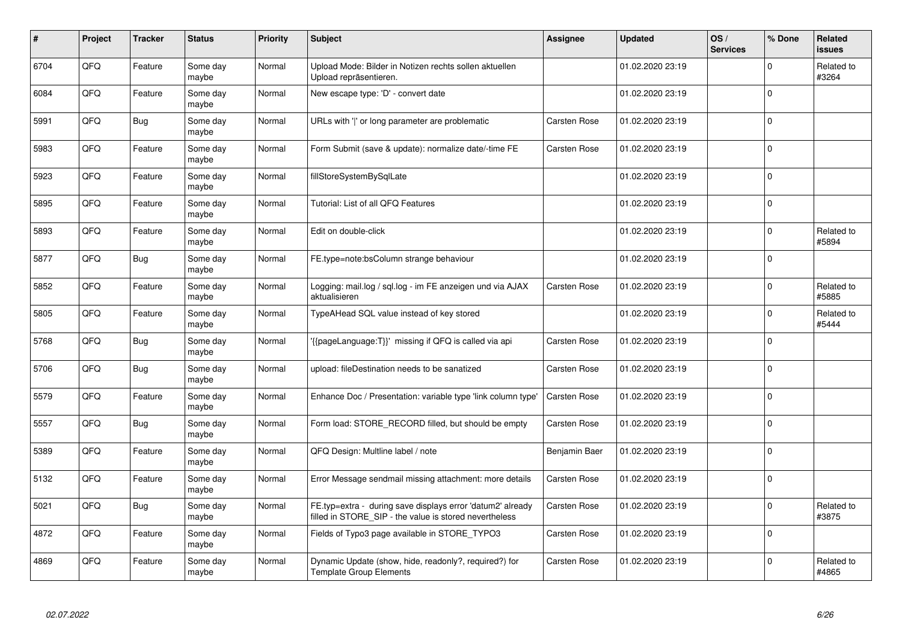| #    | Project | <b>Tracker</b> | <b>Status</b>     | Priority | <b>Subject</b>                                                                                                       | Assignee            | <b>Updated</b>   | OS/<br><b>Services</b> | % Done         | Related<br><b>issues</b> |
|------|---------|----------------|-------------------|----------|----------------------------------------------------------------------------------------------------------------------|---------------------|------------------|------------------------|----------------|--------------------------|
| 6704 | QFQ     | Feature        | Some day<br>maybe | Normal   | Upload Mode: Bilder in Notizen rechts sollen aktuellen<br>Upload repräsentieren.                                     |                     | 01.02.2020 23:19 |                        | $\mathbf 0$    | Related to<br>#3264      |
| 6084 | QFQ     | Feature        | Some day<br>maybe | Normal   | New escape type: 'D' - convert date                                                                                  |                     | 01.02.2020 23:19 |                        | $\overline{0}$ |                          |
| 5991 | QFQ     | <b>Bug</b>     | Some day<br>maybe | Normal   | URLs with 'I' or long parameter are problematic                                                                      | Carsten Rose        | 01.02.2020 23:19 |                        | 0              |                          |
| 5983 | QFQ     | Feature        | Some day<br>maybe | Normal   | Form Submit (save & update): normalize date/-time FE                                                                 | <b>Carsten Rose</b> | 01.02.2020 23:19 |                        | $\overline{0}$ |                          |
| 5923 | QFQ     | Feature        | Some day<br>maybe | Normal   | fillStoreSystemBySqlLate                                                                                             |                     | 01.02.2020 23:19 |                        | $\overline{0}$ |                          |
| 5895 | QFQ     | Feature        | Some dav<br>maybe | Normal   | Tutorial: List of all QFQ Features                                                                                   |                     | 01.02.2020 23:19 |                        | $\overline{0}$ |                          |
| 5893 | QFQ     | Feature        | Some day<br>maybe | Normal   | Edit on double-click                                                                                                 |                     | 01.02.2020 23:19 |                        | $\overline{0}$ | Related to<br>#5894      |
| 5877 | QFQ     | <b>Bug</b>     | Some day<br>maybe | Normal   | FE.type=note:bsColumn strange behaviour                                                                              |                     | 01.02.2020 23:19 |                        | $\overline{0}$ |                          |
| 5852 | QFQ     | Feature        | Some day<br>maybe | Normal   | Logging: mail.log / sql.log - im FE anzeigen und via AJAX<br>aktualisieren                                           | <b>Carsten Rose</b> | 01.02.2020 23:19 |                        | $\mathbf 0$    | Related to<br>#5885      |
| 5805 | QFQ     | Feature        | Some day<br>maybe | Normal   | TypeAHead SQL value instead of key stored                                                                            |                     | 01.02.2020 23:19 |                        | $\pmb{0}$      | Related to<br>#5444      |
| 5768 | QFQ     | <b>Bug</b>     | Some day<br>maybe | Normal   | {{pageLanguage:T}}' missing if QFQ is called via api                                                                 | Carsten Rose        | 01.02.2020 23:19 |                        | 0              |                          |
| 5706 | QFQ     | <b>Bug</b>     | Some day<br>maybe | Normal   | upload: fileDestination needs to be sanatized                                                                        | Carsten Rose        | 01.02.2020 23:19 |                        | $\overline{0}$ |                          |
| 5579 | QFQ     | Feature        | Some day<br>maybe | Normal   | Enhance Doc / Presentation: variable type 'link column type'                                                         | <b>Carsten Rose</b> | 01.02.2020 23:19 |                        | $\overline{0}$ |                          |
| 5557 | QFQ     | <b>Bug</b>     | Some day<br>maybe | Normal   | Form load: STORE_RECORD filled, but should be empty                                                                  | Carsten Rose        | 01.02.2020 23:19 |                        | $\overline{0}$ |                          |
| 5389 | QFQ     | Feature        | Some day<br>maybe | Normal   | QFQ Design: Multline label / note                                                                                    | Benjamin Baer       | 01.02.2020 23:19 |                        | $\overline{0}$ |                          |
| 5132 | QFQ     | Feature        | Some day<br>maybe | Normal   | Error Message sendmail missing attachment: more details                                                              | Carsten Rose        | 01.02.2020 23:19 |                        | 0              |                          |
| 5021 | QFQ     | <b>Bug</b>     | Some day<br>maybe | Normal   | FE.typ=extra - during save displays error 'datum2' already<br>filled in STORE SIP - the value is stored nevertheless | Carsten Rose        | 01.02.2020 23:19 |                        | $\mathbf 0$    | Related to<br>#3875      |
| 4872 | QFQ     | Feature        | Some day<br>maybe | Normal   | Fields of Typo3 page available in STORE_TYPO3                                                                        | Carsten Rose        | 01.02.2020 23:19 |                        | 0              |                          |
| 4869 | QFQ     | Feature        | Some day<br>maybe | Normal   | Dynamic Update (show, hide, readonly?, required?) for<br><b>Template Group Elements</b>                              | Carsten Rose        | 01.02.2020 23:19 |                        | $\mathbf 0$    | Related to<br>#4865      |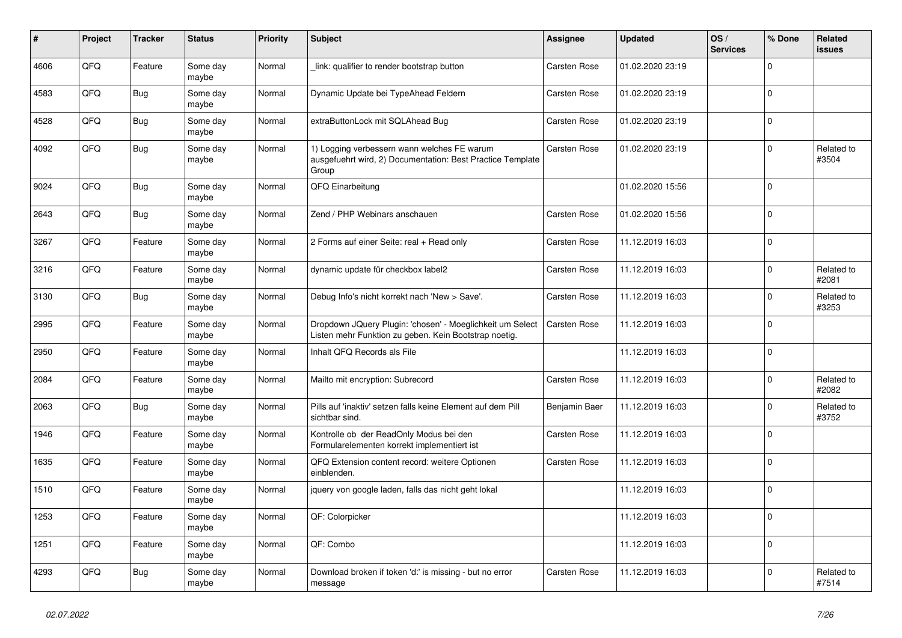| #    | Project | <b>Tracker</b> | <b>Status</b>     | Priority | <b>Subject</b>                                                                                                     | Assignee            | <b>Updated</b>   | OS/<br><b>Services</b> | % Done      | Related<br><b>issues</b> |
|------|---------|----------------|-------------------|----------|--------------------------------------------------------------------------------------------------------------------|---------------------|------------------|------------------------|-------------|--------------------------|
| 4606 | QFQ     | Feature        | Some day<br>maybe | Normal   | link: qualifier to render bootstrap button                                                                         | <b>Carsten Rose</b> | 01.02.2020 23:19 |                        | $\mathbf 0$ |                          |
| 4583 | QFQ     | <b>Bug</b>     | Some day<br>maybe | Normal   | Dynamic Update bei TypeAhead Feldern                                                                               | Carsten Rose        | 01.02.2020 23:19 |                        | $\pmb{0}$   |                          |
| 4528 | QFQ     | <b>Bug</b>     | Some day<br>maybe | Normal   | extraButtonLock mit SQLAhead Bug                                                                                   | <b>Carsten Rose</b> | 01.02.2020 23:19 |                        | $\mathbf 0$ |                          |
| 4092 | QFQ     | <b>Bug</b>     | Some day<br>maybe | Normal   | 1) Logging verbessern wann welches FE warum<br>ausgefuehrt wird, 2) Documentation: Best Practice Template<br>Group | Carsten Rose        | 01.02.2020 23:19 |                        | $\mathbf 0$ | Related to<br>#3504      |
| 9024 | QFQ     | <b>Bug</b>     | Some day<br>maybe | Normal   | QFQ Einarbeitung                                                                                                   |                     | 01.02.2020 15:56 |                        | $\Omega$    |                          |
| 2643 | QFQ     | <b>Bug</b>     | Some day<br>maybe | Normal   | Zend / PHP Webinars anschauen                                                                                      | <b>Carsten Rose</b> | 01.02.2020 15:56 |                        | $\mathbf 0$ |                          |
| 3267 | QFQ     | Feature        | Some day<br>maybe | Normal   | 2 Forms auf einer Seite: real + Read only                                                                          | Carsten Rose        | 11.12.2019 16:03 |                        | $\mathbf 0$ |                          |
| 3216 | QFQ     | Feature        | Some day<br>maybe | Normal   | dynamic update für checkbox label2                                                                                 | Carsten Rose        | 11.12.2019 16:03 |                        | $\mathbf 0$ | Related to<br>#2081      |
| 3130 | QFQ     | <b>Bug</b>     | Some day<br>maybe | Normal   | Debug Info's nicht korrekt nach 'New > Save'.                                                                      | Carsten Rose        | 11.12.2019 16:03 |                        | $\pmb{0}$   | Related to<br>#3253      |
| 2995 | QFQ     | Feature        | Some day<br>maybe | Normal   | Dropdown JQuery Plugin: 'chosen' - Moeglichkeit um Select<br>Listen mehr Funktion zu geben. Kein Bootstrap noetig. | <b>Carsten Rose</b> | 11.12.2019 16:03 |                        | $\mathbf 0$ |                          |
| 2950 | QFQ     | Feature        | Some day<br>maybe | Normal   | Inhalt QFQ Records als File                                                                                        |                     | 11.12.2019 16:03 |                        | $\mathbf 0$ |                          |
| 2084 | QFQ     | Feature        | Some day<br>maybe | Normal   | Mailto mit encryption: Subrecord                                                                                   | Carsten Rose        | 11.12.2019 16:03 |                        | $\mathbf 0$ | Related to<br>#2082      |
| 2063 | QFQ     | <b>Bug</b>     | Some day<br>maybe | Normal   | Pills auf 'inaktiv' setzen falls keine Element auf dem Pill<br>sichtbar sind.                                      | Benjamin Baer       | 11.12.2019 16:03 |                        | $\mathbf 0$ | Related to<br>#3752      |
| 1946 | QFQ     | Feature        | Some day<br>maybe | Normal   | Kontrolle ob der ReadOnly Modus bei den<br>Formularelementen korrekt implementiert ist                             | <b>Carsten Rose</b> | 11.12.2019 16:03 |                        | $\mathbf 0$ |                          |
| 1635 | QFQ     | Feature        | Some day<br>maybe | Normal   | QFQ Extension content record: weitere Optionen<br>einblenden.                                                      | Carsten Rose        | 11.12.2019 16:03 |                        | $\mathbf 0$ |                          |
| 1510 | QFQ     | Feature        | Some day<br>maybe | Normal   | jquery von google laden, falls das nicht geht lokal                                                                |                     | 11.12.2019 16:03 |                        | $\mathbf 0$ |                          |
| 1253 | QFQ     | Feature        | Some day<br>maybe | Normal   | QF: Colorpicker                                                                                                    |                     | 11.12.2019 16:03 |                        | $\mathbf 0$ |                          |
| 1251 | QFQ     | Feature        | Some day<br>maybe | Normal   | QF: Combo                                                                                                          |                     | 11.12.2019 16:03 |                        | $\mathbf 0$ |                          |
| 4293 | QFQ     | <b>Bug</b>     | Some day<br>maybe | Normal   | Download broken if token 'd:' is missing - but no error<br>message                                                 | Carsten Rose        | 11.12.2019 16:03 |                        | $\mathbf 0$ | Related to<br>#7514      |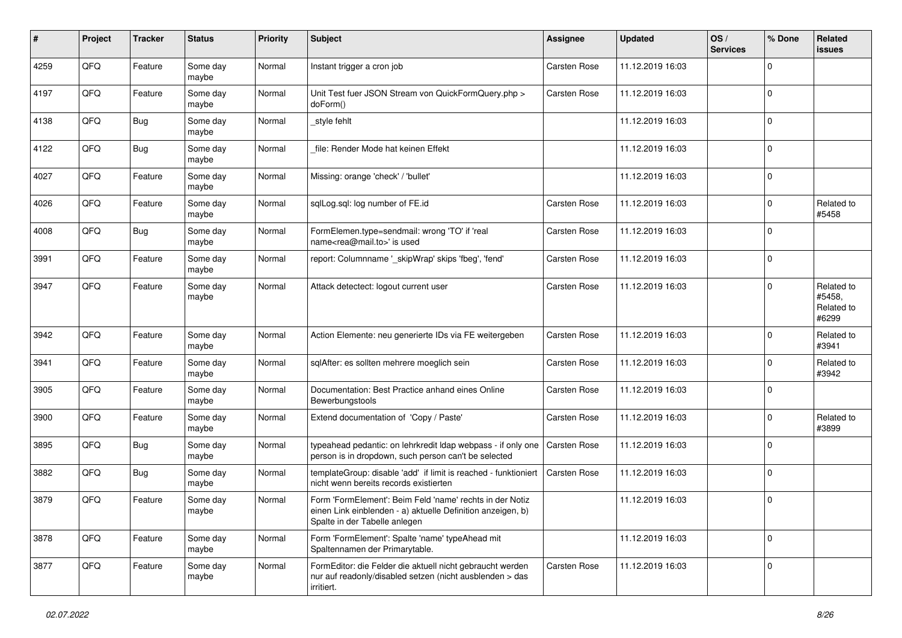| #    | Project | <b>Tracker</b> | <b>Status</b>     | <b>Priority</b> | <b>Subject</b>                                                                                                                                           | Assignee            | <b>Updated</b>   | OS/<br><b>Services</b> | % Done      | <b>Related</b><br>issues                    |
|------|---------|----------------|-------------------|-----------------|----------------------------------------------------------------------------------------------------------------------------------------------------------|---------------------|------------------|------------------------|-------------|---------------------------------------------|
| 4259 | QFQ     | Feature        | Some day<br>maybe | Normal          | Instant trigger a cron job                                                                                                                               | Carsten Rose        | 11.12.2019 16:03 |                        | $\Omega$    |                                             |
| 4197 | QFQ     | Feature        | Some day<br>maybe | Normal          | Unit Test fuer JSON Stream von QuickFormQuery.php ><br>doForm()                                                                                          | Carsten Rose        | 11.12.2019 16:03 |                        | $\mathbf 0$ |                                             |
| 4138 | QFQ     | <b>Bug</b>     | Some day<br>maybe | Normal          | style fehlt                                                                                                                                              |                     | 11.12.2019 16:03 |                        | $\mathbf 0$ |                                             |
| 4122 | QFQ     | <b>Bug</b>     | Some day<br>maybe | Normal          | file: Render Mode hat keinen Effekt                                                                                                                      |                     | 11.12.2019 16:03 |                        | $\mathbf 0$ |                                             |
| 4027 | QFQ     | Feature        | Some day<br>maybe | Normal          | Missing: orange 'check' / 'bullet'                                                                                                                       |                     | 11.12.2019 16:03 |                        | $\mathbf 0$ |                                             |
| 4026 | QFQ     | Feature        | Some day<br>maybe | Normal          | sqlLog.sql: log number of FE.id                                                                                                                          | Carsten Rose        | 11.12.2019 16:03 |                        | $\Omega$    | Related to<br>#5458                         |
| 4008 | QFQ     | Bug            | Some day<br>maybe | Normal          | FormElemen.type=sendmail: wrong 'TO' if 'real<br>name <rea@mail.to>' is used</rea@mail.to>                                                               | Carsten Rose        | 11.12.2019 16:03 |                        | $\Omega$    |                                             |
| 3991 | QFQ     | Feature        | Some day<br>maybe | Normal          | report: Columnname '_skipWrap' skips 'fbeg', 'fend'                                                                                                      | Carsten Rose        | 11.12.2019 16:03 |                        | $\mathbf 0$ |                                             |
| 3947 | QFQ     | Feature        | Some day<br>maybe | Normal          | Attack detectect: logout current user                                                                                                                    | Carsten Rose        | 11.12.2019 16:03 |                        | $\mathbf 0$ | Related to<br>#5458,<br>Related to<br>#6299 |
| 3942 | QFQ     | Feature        | Some day<br>maybe | Normal          | Action Elemente: neu generierte IDs via FE weitergeben                                                                                                   | Carsten Rose        | 11.12.2019 16:03 |                        | $\mathbf 0$ | Related to<br>#3941                         |
| 3941 | QFQ     | Feature        | Some day<br>maybe | Normal          | sqlAfter: es sollten mehrere moeglich sein                                                                                                               | Carsten Rose        | 11.12.2019 16:03 |                        | $\mathbf 0$ | Related to<br>#3942                         |
| 3905 | QFQ     | Feature        | Some day<br>maybe | Normal          | Documentation: Best Practice anhand eines Online<br>Bewerbungstools                                                                                      | Carsten Rose        | 11.12.2019 16:03 |                        | $\Omega$    |                                             |
| 3900 | QFQ     | Feature        | Some day<br>maybe | Normal          | Extend documentation of 'Copy / Paste'                                                                                                                   | Carsten Rose        | 11.12.2019 16:03 |                        | $\mathbf 0$ | Related to<br>#3899                         |
| 3895 | QFQ     | Bug            | Some day<br>maybe | Normal          | typeahead pedantic: on lehrkredit Idap webpass - if only one<br>person is in dropdown, such person can't be selected                                     | <b>Carsten Rose</b> | 11.12.2019 16:03 |                        | $\Omega$    |                                             |
| 3882 | QFQ     | <b>Bug</b>     | Some day<br>maybe | Normal          | templateGroup: disable 'add' if limit is reached - funktioniert<br>nicht wenn bereits records existierten                                                | Carsten Rose        | 11.12.2019 16:03 |                        | $\mathbf 0$ |                                             |
| 3879 | QFQ     | Feature        | Some day<br>maybe | Normal          | Form 'FormElement': Beim Feld 'name' rechts in der Notiz<br>einen Link einblenden - a) aktuelle Definition anzeigen, b)<br>Spalte in der Tabelle anlegen |                     | 11.12.2019 16:03 |                        | $\mathbf 0$ |                                             |
| 3878 | QFQ     | Feature        | Some day<br>maybe | Normal          | Form 'FormElement': Spalte 'name' typeAhead mit<br>Spaltennamen der Primarytable.                                                                        |                     | 11.12.2019 16:03 |                        | $\mathbf 0$ |                                             |
| 3877 | QFQ     | Feature        | Some day<br>maybe | Normal          | FormEditor: die Felder die aktuell nicht gebraucht werden<br>nur auf readonly/disabled setzen (nicht ausblenden > das<br>irritiert.                      | Carsten Rose        | 11.12.2019 16:03 |                        | $\mathbf 0$ |                                             |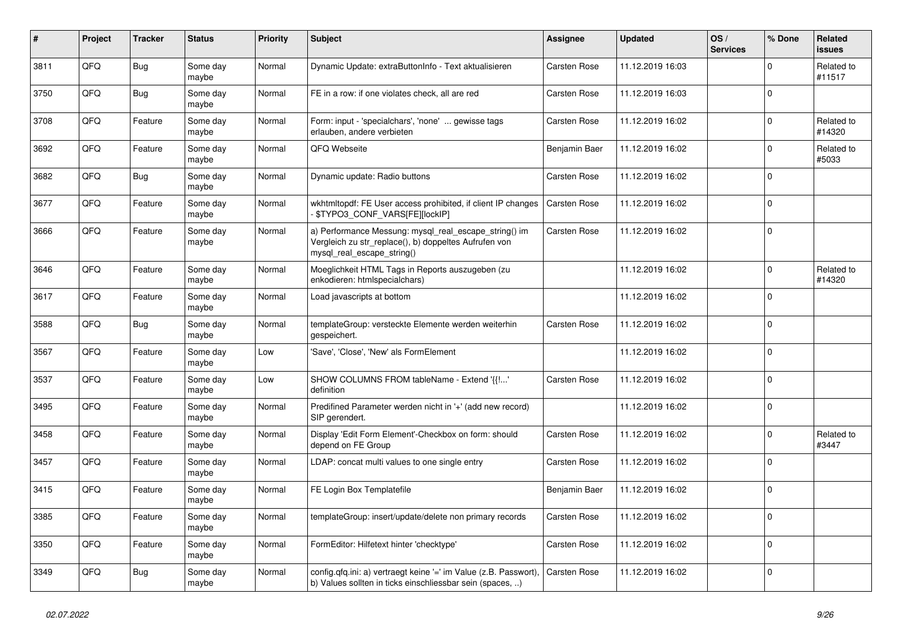| $\vert$ # | Project | <b>Tracker</b> | <b>Status</b>     | <b>Priority</b> | <b>Subject</b>                                                                                                                               | Assignee            | <b>Updated</b>   | OS/<br><b>Services</b> | % Done      | <b>Related</b><br><b>issues</b> |
|-----------|---------|----------------|-------------------|-----------------|----------------------------------------------------------------------------------------------------------------------------------------------|---------------------|------------------|------------------------|-------------|---------------------------------|
| 3811      | QFQ     | <b>Bug</b>     | Some day<br>maybe | Normal          | Dynamic Update: extraButtonInfo - Text aktualisieren                                                                                         | <b>Carsten Rose</b> | 11.12.2019 16:03 |                        | $\Omega$    | Related to<br>#11517            |
| 3750      | QFQ     | <b>Bug</b>     | Some day<br>maybe | Normal          | FE in a row: if one violates check, all are red                                                                                              | <b>Carsten Rose</b> | 11.12.2019 16:03 |                        | $\mathbf 0$ |                                 |
| 3708      | QFQ     | Feature        | Some day<br>maybe | Normal          | Form: input - 'specialchars', 'none'  gewisse tags<br>erlauben, andere verbieten                                                             | Carsten Rose        | 11.12.2019 16:02 |                        | $\Omega$    | Related to<br>#14320            |
| 3692      | QFQ     | Feature        | Some day<br>maybe | Normal          | QFQ Webseite                                                                                                                                 | Benjamin Baer       | 11.12.2019 16:02 |                        | $\mathbf 0$ | Related to<br>#5033             |
| 3682      | QFQ     | <b>Bug</b>     | Some day<br>maybe | Normal          | Dynamic update: Radio buttons                                                                                                                | <b>Carsten Rose</b> | 11.12.2019 16:02 |                        | $\mathbf 0$ |                                 |
| 3677      | QFQ     | Feature        | Some day<br>maybe | Normal          | wkhtmltopdf: FE User access prohibited, if client IP changes<br>\$TYPO3_CONF_VARS[FE][lockIP]                                                | Carsten Rose        | 11.12.2019 16:02 |                        | $\Omega$    |                                 |
| 3666      | QFQ     | Feature        | Some day<br>maybe | Normal          | a) Performance Messung: mysql_real_escape_string() im<br>Vergleich zu str_replace(), b) doppeltes Aufrufen von<br>mysql real escape string() | Carsten Rose        | 11.12.2019 16:02 |                        | $\Omega$    |                                 |
| 3646      | QFQ     | Feature        | Some day<br>maybe | Normal          | Moeglichkeit HTML Tags in Reports auszugeben (zu<br>enkodieren: htmlspecialchars)                                                            |                     | 11.12.2019 16:02 |                        | $\mathbf 0$ | Related to<br>#14320            |
| 3617      | QFQ     | Feature        | Some day<br>maybe | Normal          | Load javascripts at bottom                                                                                                                   |                     | 11.12.2019 16:02 |                        | $\mathbf 0$ |                                 |
| 3588      | QFQ     | <b>Bug</b>     | Some day<br>maybe | Normal          | templateGroup: versteckte Elemente werden weiterhin<br>gespeichert.                                                                          | Carsten Rose        | 11.12.2019 16:02 |                        | $\mathbf 0$ |                                 |
| 3567      | QFQ     | Feature        | Some day<br>maybe | Low             | 'Save', 'Close', 'New' als FormElement                                                                                                       |                     | 11.12.2019 16:02 |                        | $\mathbf 0$ |                                 |
| 3537      | QFQ     | Feature        | Some day<br>maybe | Low             | SHOW COLUMNS FROM tableName - Extend '{{'<br>definition                                                                                      | Carsten Rose        | 11.12.2019 16:02 |                        | $\Omega$    |                                 |
| 3495      | QFQ     | Feature        | Some day<br>maybe | Normal          | Predifined Parameter werden nicht in '+' (add new record)<br>SIP gerendert.                                                                  |                     | 11.12.2019 16:02 |                        | $\mathbf 0$ |                                 |
| 3458      | QFQ     | Feature        | Some day<br>maybe | Normal          | Display 'Edit Form Element'-Checkbox on form: should<br>depend on FE Group                                                                   | Carsten Rose        | 11.12.2019 16:02 |                        | $\mathbf 0$ | Related to<br>#3447             |
| 3457      | QFQ     | Feature        | Some day<br>maybe | Normal          | LDAP: concat multi values to one single entry                                                                                                | Carsten Rose        | 11.12.2019 16:02 |                        | $\mathbf 0$ |                                 |
| 3415      | QFQ     | Feature        | Some day<br>maybe | Normal          | FE Login Box Templatefile                                                                                                                    | Benjamin Baer       | 11.12.2019 16:02 |                        | $\mathbf 0$ |                                 |
| 3385      | QFQ     | Feature        | Some day<br>maybe | Normal          | templateGroup: insert/update/delete non primary records                                                                                      | Carsten Rose        | 11.12.2019 16:02 |                        | $\Omega$    |                                 |
| 3350      | QFQ     | Feature        | Some day<br>maybe | Normal          | FormEditor: Hilfetext hinter 'checktype'                                                                                                     | Carsten Rose        | 11.12.2019 16:02 |                        | $\Omega$    |                                 |
| 3349      | QFQ     | <b>Bug</b>     | Some day<br>maybe | Normal          | config.qfq.ini: a) vertraegt keine '=' im Value (z.B. Passwort),<br>b) Values sollten in ticks einschliessbar sein (spaces, )                | <b>Carsten Rose</b> | 11.12.2019 16:02 |                        | $\mathbf 0$ |                                 |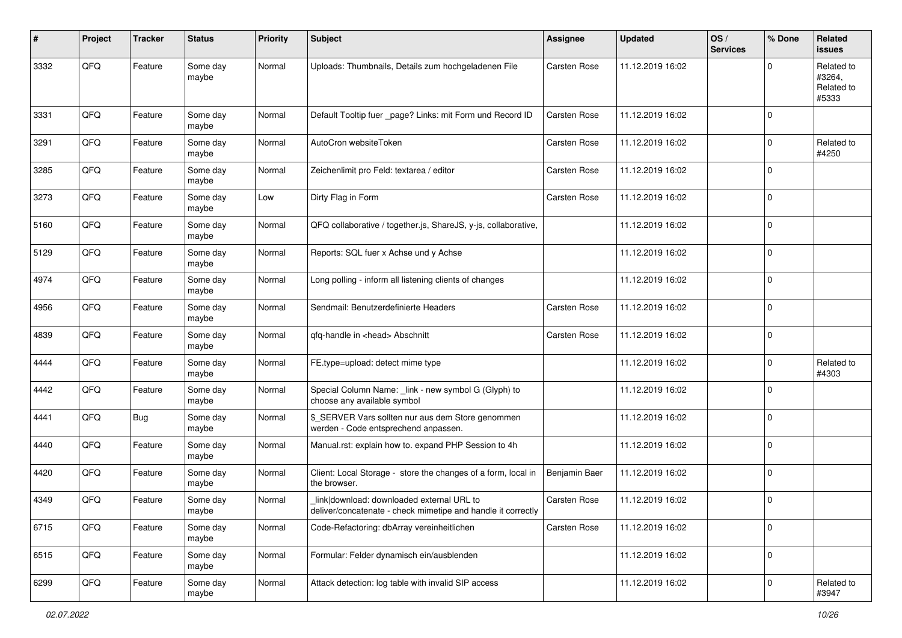| #    | Project | <b>Tracker</b> | <b>Status</b>     | <b>Priority</b> | Subject                                                                                                   | <b>Assignee</b> | <b>Updated</b>   | OS/<br><b>Services</b> | % Done      | Related<br><b>issues</b>                    |
|------|---------|----------------|-------------------|-----------------|-----------------------------------------------------------------------------------------------------------|-----------------|------------------|------------------------|-------------|---------------------------------------------|
| 3332 | QFQ     | Feature        | Some day<br>maybe | Normal          | Uploads: Thumbnails, Details zum hochgeladenen File                                                       | Carsten Rose    | 11.12.2019 16:02 |                        | $\Omega$    | Related to<br>#3264,<br>Related to<br>#5333 |
| 3331 | QFQ     | Feature        | Some day<br>maybe | Normal          | Default Tooltip fuer _page? Links: mit Form und Record ID                                                 | Carsten Rose    | 11.12.2019 16:02 |                        | $\mathbf 0$ |                                             |
| 3291 | QFQ     | Feature        | Some day<br>maybe | Normal          | AutoCron websiteToken                                                                                     | Carsten Rose    | 11.12.2019 16:02 |                        | $\mathbf 0$ | Related to<br>#4250                         |
| 3285 | QFQ     | Feature        | Some day<br>maybe | Normal          | Zeichenlimit pro Feld: textarea / editor                                                                  | Carsten Rose    | 11.12.2019 16:02 |                        | $\mathbf 0$ |                                             |
| 3273 | QFQ     | Feature        | Some day<br>maybe | Low             | Dirty Flag in Form                                                                                        | Carsten Rose    | 11.12.2019 16:02 |                        | $\mathbf 0$ |                                             |
| 5160 | QFQ     | Feature        | Some day<br>maybe | Normal          | QFQ collaborative / together.js, ShareJS, y-js, collaborative,                                            |                 | 11.12.2019 16:02 |                        | 0           |                                             |
| 5129 | QFQ     | Feature        | Some day<br>maybe | Normal          | Reports: SQL fuer x Achse und y Achse                                                                     |                 | 11.12.2019 16:02 |                        | $\mathbf 0$ |                                             |
| 4974 | QFQ     | Feature        | Some day<br>maybe | Normal          | Long polling - inform all listening clients of changes                                                    |                 | 11.12.2019 16:02 |                        | $\mathbf 0$ |                                             |
| 4956 | QFQ     | Feature        | Some day<br>maybe | Normal          | Sendmail: Benutzerdefinierte Headers                                                                      | Carsten Rose    | 11.12.2019 16:02 |                        | $\mathbf 0$ |                                             |
| 4839 | QFQ     | Feature        | Some day<br>maybe | Normal          | qfq-handle in <head> Abschnitt</head>                                                                     | Carsten Rose    | 11.12.2019 16:02 |                        | $\mathbf 0$ |                                             |
| 4444 | QFQ     | Feature        | Some day<br>maybe | Normal          | FE.type=upload: detect mime type                                                                          |                 | 11.12.2019 16:02 |                        | $\mathbf 0$ | Related to<br>#4303                         |
| 4442 | QFQ     | Feature        | Some day<br>maybe | Normal          | Special Column Name: _link - new symbol G (Glyph) to<br>choose any available symbol                       |                 | 11.12.2019 16:02 |                        | $\mathbf 0$ |                                             |
| 4441 | QFQ     | <b>Bug</b>     | Some day<br>maybe | Normal          | \$_SERVER Vars sollten nur aus dem Store genommen<br>werden - Code entsprechend anpassen.                 |                 | 11.12.2019 16:02 |                        | $\mathbf 0$ |                                             |
| 4440 | QFQ     | Feature        | Some day<br>maybe | Normal          | Manual.rst: explain how to. expand PHP Session to 4h                                                      |                 | 11.12.2019 16:02 |                        | $\mathbf 0$ |                                             |
| 4420 | QFQ     | Feature        | Some day<br>maybe | Normal          | Client: Local Storage - store the changes of a form, local in<br>the browser.                             | Benjamin Baer   | 11.12.2019 16:02 |                        | $\mathbf 0$ |                                             |
| 4349 | QFQ     | Feature        | Some day<br>maybe | Normal          | link download: downloaded external URL to<br>deliver/concatenate - check mimetipe and handle it correctly | Carsten Rose    | 11.12.2019 16:02 |                        | $\mathbf 0$ |                                             |
| 6715 | QFQ     | Feature        | Some day<br>maybe | Normal          | Code-Refactoring: dbArray vereinheitlichen                                                                | Carsten Rose    | 11.12.2019 16:02 |                        | $\mathbf 0$ |                                             |
| 6515 | QFQ     | Feature        | Some day<br>maybe | Normal          | Formular: Felder dynamisch ein/ausblenden                                                                 |                 | 11.12.2019 16:02 |                        | $\pmb{0}$   |                                             |
| 6299 | QFQ     | Feature        | Some day<br>maybe | Normal          | Attack detection: log table with invalid SIP access                                                       |                 | 11.12.2019 16:02 |                        | $\pmb{0}$   | Related to<br>#3947                         |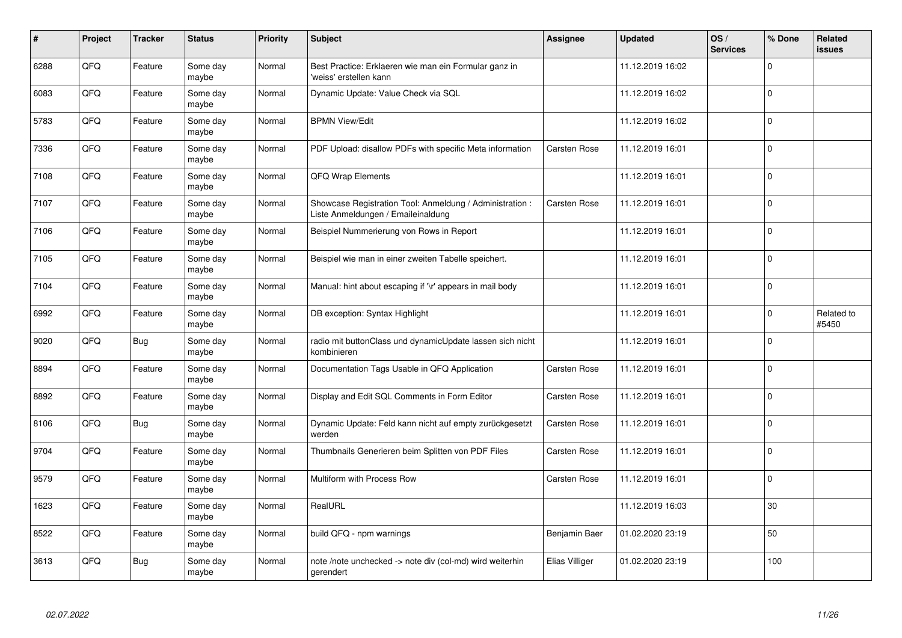| #    | Project | <b>Tracker</b> | <b>Status</b>     | <b>Priority</b> | <b>Subject</b>                                                                                 | <b>Assignee</b>     | <b>Updated</b>   | OS/<br><b>Services</b> | % Done                    | Related<br><b>issues</b> |
|------|---------|----------------|-------------------|-----------------|------------------------------------------------------------------------------------------------|---------------------|------------------|------------------------|---------------------------|--------------------------|
| 6288 | QFQ     | Feature        | Some day<br>maybe | Normal          | Best Practice: Erklaeren wie man ein Formular ganz in<br>'weiss' erstellen kann                |                     | 11.12.2019 16:02 |                        | 0                         |                          |
| 6083 | QFQ     | Feature        | Some day<br>maybe | Normal          | Dynamic Update: Value Check via SQL                                                            |                     | 11.12.2019 16:02 |                        | $\overline{0}$            |                          |
| 5783 | QFQ     | Feature        | Some day<br>maybe | Normal          | <b>BPMN View/Edit</b>                                                                          |                     | 11.12.2019 16:02 |                        | $\mathbf{0}^{\mathbf{1}}$ |                          |
| 7336 | QFQ     | Feature        | Some day<br>maybe | Normal          | PDF Upload: disallow PDFs with specific Meta information                                       | <b>Carsten Rose</b> | 11.12.2019 16:01 |                        | $\overline{0}$            |                          |
| 7108 | QFQ     | Feature        | Some day<br>maybe | Normal          | <b>QFQ Wrap Elements</b>                                                                       |                     | 11.12.2019 16:01 |                        | $\overline{0}$            |                          |
| 7107 | QFQ     | Feature        | Some dav<br>maybe | Normal          | Showcase Registration Tool: Anmeldung / Administration :<br>Liste Anmeldungen / Emaileinaldung | <b>Carsten Rose</b> | 11.12.2019 16:01 |                        | $\overline{0}$            |                          |
| 7106 | QFQ     | Feature        | Some day<br>maybe | Normal          | Beispiel Nummerierung von Rows in Report                                                       |                     | 11.12.2019 16:01 |                        | $\overline{0}$            |                          |
| 7105 | QFQ     | Feature        | Some day<br>maybe | Normal          | Beispiel wie man in einer zweiten Tabelle speichert.                                           |                     | 11.12.2019 16:01 |                        | $\overline{0}$            |                          |
| 7104 | QFQ     | Feature        | Some day<br>maybe | Normal          | Manual: hint about escaping if '\r' appears in mail body                                       |                     | 11.12.2019 16:01 |                        | 0                         |                          |
| 6992 | QFQ     | Feature        | Some day<br>maybe | Normal          | DB exception: Syntax Highlight                                                                 |                     | 11.12.2019 16:01 |                        | $\mathbf 0$               | Related to<br>#5450      |
| 9020 | QFQ     | <b>Bug</b>     | Some day<br>maybe | Normal          | radio mit buttonClass und dynamicUpdate lassen sich nicht<br>kombinieren                       |                     | 11.12.2019 16:01 |                        | 0                         |                          |
| 8894 | QFQ     | Feature        | Some day<br>maybe | Normal          | Documentation Tags Usable in QFQ Application                                                   | <b>Carsten Rose</b> | 11.12.2019 16:01 |                        | $\overline{0}$            |                          |
| 8892 | QFQ     | Feature        | Some day<br>maybe | Normal          | Display and Edit SQL Comments in Form Editor                                                   | <b>Carsten Rose</b> | 11.12.2019 16:01 |                        | $\overline{0}$            |                          |
| 8106 | QFQ     | <b>Bug</b>     | Some day<br>maybe | Normal          | Dynamic Update: Feld kann nicht auf empty zurückgesetzt<br>werden                              | Carsten Rose        | 11.12.2019 16:01 |                        | $\overline{0}$            |                          |
| 9704 | QFQ     | Feature        | Some day<br>maybe | Normal          | Thumbnails Generieren beim Splitten von PDF Files                                              | Carsten Rose        | 11.12.2019 16:01 |                        | $\overline{0}$            |                          |
| 9579 | QFQ     | Feature        | Some day<br>maybe | Normal          | Multiform with Process Row                                                                     | Carsten Rose        | 11.12.2019 16:01 |                        | 0                         |                          |
| 1623 | QFQ     | Feature        | Some day<br>maybe | Normal          | RealURL                                                                                        |                     | 11.12.2019 16:03 |                        | 30                        |                          |
| 8522 | QFQ     | Feature        | Some day<br>maybe | Normal          | build QFQ - npm warnings                                                                       | Benjamin Baer       | 01.02.2020 23:19 |                        | 50                        |                          |
| 3613 | QFQ     | <b>Bug</b>     | Some day<br>maybe | Normal          | note /note unchecked -> note div (col-md) wird weiterhin<br>gerendert                          | Elias Villiger      | 01.02.2020 23:19 |                        | 100                       |                          |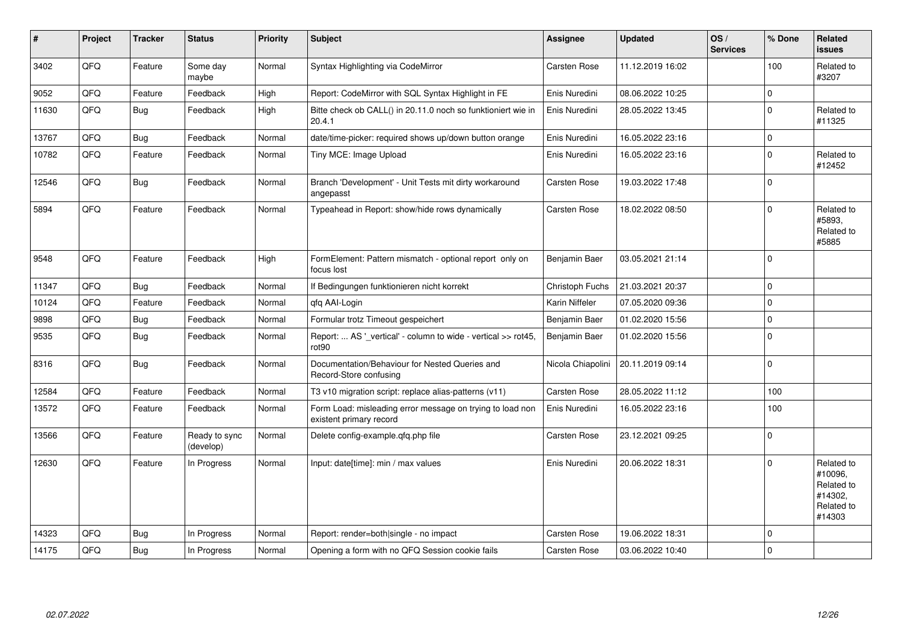| #     | Project | <b>Tracker</b> | <b>Status</b>              | Priority | <b>Subject</b>                                                                       | Assignee          | <b>Updated</b>   | OS/<br><b>Services</b> | % Done       | Related<br><b>issues</b>                                               |
|-------|---------|----------------|----------------------------|----------|--------------------------------------------------------------------------------------|-------------------|------------------|------------------------|--------------|------------------------------------------------------------------------|
| 3402  | QFQ     | Feature        | Some day<br>maybe          | Normal   | Syntax Highlighting via CodeMirror                                                   | Carsten Rose      | 11.12.2019 16:02 |                        | 100          | Related to<br>#3207                                                    |
| 9052  | QFQ     | Feature        | Feedback                   | High     | Report: CodeMirror with SQL Syntax Highlight in FE                                   | Enis Nuredini     | 08.06.2022 10:25 |                        | $\Omega$     |                                                                        |
| 11630 | QFQ     | <b>Bug</b>     | Feedback                   | High     | Bitte check ob CALL() in 20.11.0 noch so funktioniert wie in<br>20.4.1               | Enis Nuredini     | 28.05.2022 13:45 |                        | $\mathbf 0$  | Related to<br>#11325                                                   |
| 13767 | QFQ     | Bug            | Feedback                   | Normal   | date/time-picker: required shows up/down button orange                               | Enis Nuredini     | 16.05.2022 23:16 |                        | $\mathbf 0$  |                                                                        |
| 10782 | QFQ     | Feature        | Feedback                   | Normal   | Tiny MCE: Image Upload                                                               | Enis Nuredini     | 16.05.2022 23:16 |                        | $\mathbf{0}$ | Related to<br>#12452                                                   |
| 12546 | QFQ     | Bug            | Feedback                   | Normal   | Branch 'Development' - Unit Tests mit dirty workaround<br>angepasst                  | Carsten Rose      | 19.03.2022 17:48 |                        | $\mathbf 0$  |                                                                        |
| 5894  | QFQ     | Feature        | Feedback                   | Normal   | Typeahead in Report: show/hide rows dynamically                                      | Carsten Rose      | 18.02.2022 08:50 |                        | $\Omega$     | Related to<br>#5893.<br>Related to<br>#5885                            |
| 9548  | QFQ     | Feature        | Feedback                   | High     | FormElement: Pattern mismatch - optional report only on<br>focus lost                | Benjamin Baer     | 03.05.2021 21:14 |                        | $\Omega$     |                                                                        |
| 11347 | QFQ     | Bug            | Feedback                   | Normal   | If Bedingungen funktionieren nicht korrekt                                           | Christoph Fuchs   | 21.03.2021 20:37 |                        | $\mathbf 0$  |                                                                        |
| 10124 | QFQ     | Feature        | Feedback                   | Normal   | qfq AAI-Login                                                                        | Karin Niffeler    | 07.05.2020 09:36 |                        | $\Omega$     |                                                                        |
| 9898  | QFQ     | <b>Bug</b>     | Feedback                   | Normal   | Formular trotz Timeout gespeichert                                                   | Benjamin Baer     | 01.02.2020 15:56 |                        | $\mathbf 0$  |                                                                        |
| 9535  | QFQ     | <b>Bug</b>     | Feedback                   | Normal   | Report:  AS '_vertical' - column to wide - vertical >> rot45,<br>rot <sub>90</sub>   | Benjamin Baer     | 01.02.2020 15:56 |                        | $\mathbf 0$  |                                                                        |
| 8316  | QFQ     | Bug            | Feedback                   | Normal   | Documentation/Behaviour for Nested Queries and<br>Record-Store confusing             | Nicola Chiapolini | 20.11.2019 09:14 |                        | $\Omega$     |                                                                        |
| 12584 | QFQ     | Feature        | Feedback                   | Normal   | T3 v10 migration script: replace alias-patterns (v11)                                | Carsten Rose      | 28.05.2022 11:12 |                        | 100          |                                                                        |
| 13572 | QFQ     | Feature        | Feedback                   | Normal   | Form Load: misleading error message on trying to load non<br>existent primary record | Enis Nuredini     | 16.05.2022 23:16 |                        | 100          |                                                                        |
| 13566 | QFQ     | Feature        | Ready to sync<br>(develop) | Normal   | Delete config-example.qfq.php file                                                   | Carsten Rose      | 23.12.2021 09:25 |                        | $\mathbf 0$  |                                                                        |
| 12630 | QFQ     | Feature        | In Progress                | Normal   | Input: date[time]: min / max values                                                  | Enis Nuredini     | 20.06.2022 18:31 |                        | $\Omega$     | Related to<br>#10096.<br>Related to<br>#14302,<br>Related to<br>#14303 |
| 14323 | QFQ     | Bug            | In Progress                | Normal   | Report: render=both single - no impact                                               | Carsten Rose      | 19.06.2022 18:31 |                        | $\mathbf 0$  |                                                                        |
| 14175 | QFQ     | Bug            | In Progress                | Normal   | Opening a form with no QFQ Session cookie fails                                      | Carsten Rose      | 03.06.2022 10:40 |                        | $\mathbf 0$  |                                                                        |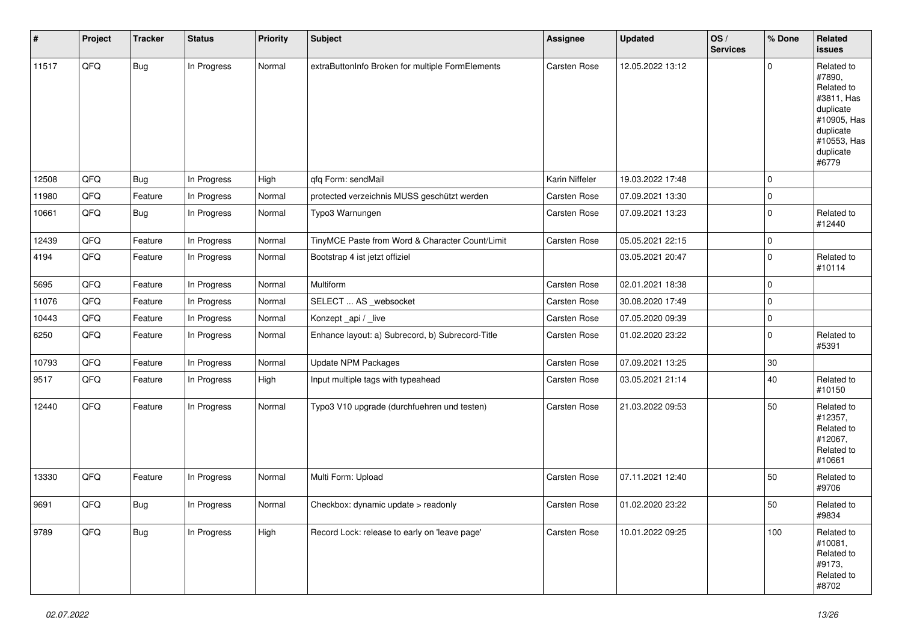| #     | Project | <b>Tracker</b> | <b>Status</b> | <b>Priority</b> | <b>Subject</b>                                   | Assignee       | <b>Updated</b>   | OS/<br><b>Services</b> | % Done      | Related<br>issues                                                                                                              |
|-------|---------|----------------|---------------|-----------------|--------------------------------------------------|----------------|------------------|------------------------|-------------|--------------------------------------------------------------------------------------------------------------------------------|
| 11517 | QFQ     | <b>Bug</b>     | In Progress   | Normal          | extraButtonInfo Broken for multiple FormElements | Carsten Rose   | 12.05.2022 13:12 |                        | $\Omega$    | Related to<br>#7890,<br>Related to<br>#3811, Has<br>duplicate<br>#10905, Has<br>duplicate<br>#10553, Has<br>duplicate<br>#6779 |
| 12508 | QFQ     | <b>Bug</b>     | In Progress   | High            | qfq Form: sendMail                               | Karin Niffeler | 19.03.2022 17:48 |                        | $\mathbf 0$ |                                                                                                                                |
| 11980 | QFQ     | Feature        | In Progress   | Normal          | protected verzeichnis MUSS geschützt werden      | Carsten Rose   | 07.09.2021 13:30 |                        | $\mathbf 0$ |                                                                                                                                |
| 10661 | QFQ     | <b>Bug</b>     | In Progress   | Normal          | Typo3 Warnungen                                  | Carsten Rose   | 07.09.2021 13:23 |                        | $\mathbf 0$ | Related to<br>#12440                                                                                                           |
| 12439 | QFQ     | Feature        | In Progress   | Normal          | TinyMCE Paste from Word & Character Count/Limit  | Carsten Rose   | 05.05.2021 22:15 |                        | $\mathbf 0$ |                                                                                                                                |
| 4194  | QFQ     | Feature        | In Progress   | Normal          | Bootstrap 4 ist jetzt offiziel                   |                | 03.05.2021 20:47 |                        | $\mathbf 0$ | Related to<br>#10114                                                                                                           |
| 5695  | QFQ     | Feature        | In Progress   | Normal          | Multiform                                        | Carsten Rose   | 02.01.2021 18:38 |                        | $\mathbf 0$ |                                                                                                                                |
| 11076 | QFQ     | Feature        | In Progress   | Normal          | SELECT  AS _websocket                            | Carsten Rose   | 30.08.2020 17:49 |                        | $\pmb{0}$   |                                                                                                                                |
| 10443 | QFQ     | Feature        | In Progress   | Normal          | Konzept_api / _live                              | Carsten Rose   | 07.05.2020 09:39 |                        | $\mathbf 0$ |                                                                                                                                |
| 6250  | QFQ     | Feature        | In Progress   | Normal          | Enhance layout: a) Subrecord, b) Subrecord-Title | Carsten Rose   | 01.02.2020 23:22 |                        | $\mathbf 0$ | Related to<br>#5391                                                                                                            |
| 10793 | QFQ     | Feature        | In Progress   | Normal          | <b>Update NPM Packages</b>                       | Carsten Rose   | 07.09.2021 13:25 |                        | $30\,$      |                                                                                                                                |
| 9517  | QFQ     | Feature        | In Progress   | High            | Input multiple tags with typeahead               | Carsten Rose   | 03.05.2021 21:14 |                        | 40          | Related to<br>#10150                                                                                                           |
| 12440 | QFQ     | Feature        | In Progress   | Normal          | Typo3 V10 upgrade (durchfuehren und testen)      | Carsten Rose   | 21.03.2022 09:53 |                        | 50          | Related to<br>#12357,<br>Related to<br>#12067,<br>Related to<br>#10661                                                         |
| 13330 | QFQ     | Feature        | In Progress   | Normal          | Multi Form: Upload                               | Carsten Rose   | 07.11.2021 12:40 |                        | 50          | Related to<br>#9706                                                                                                            |
| 9691  | QFQ     | <b>Bug</b>     | In Progress   | Normal          | Checkbox: dynamic update > readonly              | Carsten Rose   | 01.02.2020 23:22 |                        | 50          | Related to<br>#9834                                                                                                            |
| 9789  | QFQ     | <b>Bug</b>     | In Progress   | High            | Record Lock: release to early on 'leave page'    | Carsten Rose   | 10.01.2022 09:25 |                        | 100         | Related to<br>#10081,<br>Related to<br>#9173,<br>Related to<br>#8702                                                           |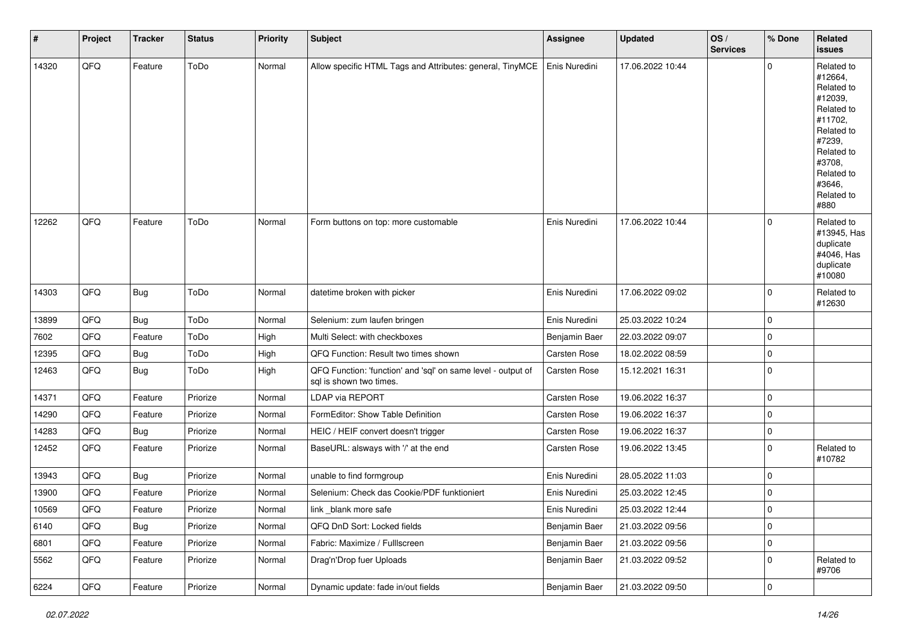| #     | Project        | <b>Tracker</b> | <b>Status</b> | Priority | Subject                                                                                 | Assignee      | <b>Updated</b>   | OS/<br><b>Services</b> | % Done      | Related<br><b>issues</b>                                                                                                                                              |
|-------|----------------|----------------|---------------|----------|-----------------------------------------------------------------------------------------|---------------|------------------|------------------------|-------------|-----------------------------------------------------------------------------------------------------------------------------------------------------------------------|
| 14320 | QFQ            | Feature        | ToDo          | Normal   | Allow specific HTML Tags and Attributes: general, TinyMCE                               | Enis Nuredini | 17.06.2022 10:44 |                        | $\mathbf 0$ | Related to<br>#12664,<br>Related to<br>#12039,<br>Related to<br>#11702,<br>Related to<br>#7239,<br>Related to<br>#3708,<br>Related to<br>#3646,<br>Related to<br>#880 |
| 12262 | QFQ            | Feature        | ToDo          | Normal   | Form buttons on top: more customable                                                    | Enis Nuredini | 17.06.2022 10:44 |                        | 0           | Related to<br>#13945, Has<br>duplicate<br>#4046, Has<br>duplicate<br>#10080                                                                                           |
| 14303 | QFQ            | Bug            | ToDo          | Normal   | datetime broken with picker                                                             | Enis Nuredini | 17.06.2022 09:02 |                        | $\mathbf 0$ | Related to<br>#12630                                                                                                                                                  |
| 13899 | QFQ            | <b>Bug</b>     | ToDo          | Normal   | Selenium: zum laufen bringen                                                            | Enis Nuredini | 25.03.2022 10:24 |                        | 0           |                                                                                                                                                                       |
| 7602  | QFQ            | Feature        | ToDo          | High     | Multi Select: with checkboxes                                                           | Benjamin Baer | 22.03.2022 09:07 |                        | $\mathbf 0$ |                                                                                                                                                                       |
| 12395 | QFQ            | Bug            | ToDo          | High     | QFQ Function: Result two times shown                                                    | Carsten Rose  | 18.02.2022 08:59 |                        | $\mathbf 0$ |                                                                                                                                                                       |
| 12463 | QFQ            | Bug            | ToDo          | High     | QFQ Function: 'function' and 'sql' on same level - output of<br>sql is shown two times. | Carsten Rose  | 15.12.2021 16:31 |                        | $\mathbf 0$ |                                                                                                                                                                       |
| 14371 | QFQ            | Feature        | Priorize      | Normal   | LDAP via REPORT                                                                         | Carsten Rose  | 19.06.2022 16:37 |                        | $\mathbf 0$ |                                                                                                                                                                       |
| 14290 | QFQ            | Feature        | Priorize      | Normal   | FormEditor: Show Table Definition                                                       | Carsten Rose  | 19.06.2022 16:37 |                        | $\mathbf 0$ |                                                                                                                                                                       |
| 14283 | QFQ            | Bug            | Priorize      | Normal   | HEIC / HEIF convert doesn't trigger                                                     | Carsten Rose  | 19.06.2022 16:37 |                        | 0           |                                                                                                                                                                       |
| 12452 | QFQ            | Feature        | Priorize      | Normal   | BaseURL: alsways with '/' at the end                                                    | Carsten Rose  | 19.06.2022 13:45 |                        | $\mathbf 0$ | Related to<br>#10782                                                                                                                                                  |
| 13943 | QFQ            | Bug            | Priorize      | Normal   | unable to find formgroup                                                                | Enis Nuredini | 28.05.2022 11:03 |                        | 0           |                                                                                                                                                                       |
| 13900 | QFQ            | Feature        | Priorize      | Normal   | Selenium: Check das Cookie/PDF funktioniert                                             | Enis Nuredini | 25.03.2022 12:45 |                        | 0           |                                                                                                                                                                       |
| 10569 | $\mathsf{QFQ}$ | Feature        | Priorize      | Normal   | link_blank more safe                                                                    | Enis Nuredini | 25.03.2022 12:44 |                        | 0           |                                                                                                                                                                       |
| 6140  | QFQ            | <b>Bug</b>     | Priorize      | Normal   | QFQ DnD Sort: Locked fields                                                             | Benjamin Baer | 21.03.2022 09:56 |                        | $\mathbf 0$ |                                                                                                                                                                       |
| 6801  | QFQ            | Feature        | Priorize      | Normal   | Fabric: Maximize / FullIscreen                                                          | Benjamin Baer | 21.03.2022 09:56 |                        | $\pmb{0}$   |                                                                                                                                                                       |
| 5562  | QFQ            | Feature        | Priorize      | Normal   | Drag'n'Drop fuer Uploads                                                                | Benjamin Baer | 21.03.2022 09:52 |                        | 0           | Related to<br>#9706                                                                                                                                                   |
| 6224  | $\mathsf{QFQ}$ | Feature        | Priorize      | Normal   | Dynamic update: fade in/out fields                                                      | Benjamin Baer | 21.03.2022 09:50 |                        | $\mathbf 0$ |                                                                                                                                                                       |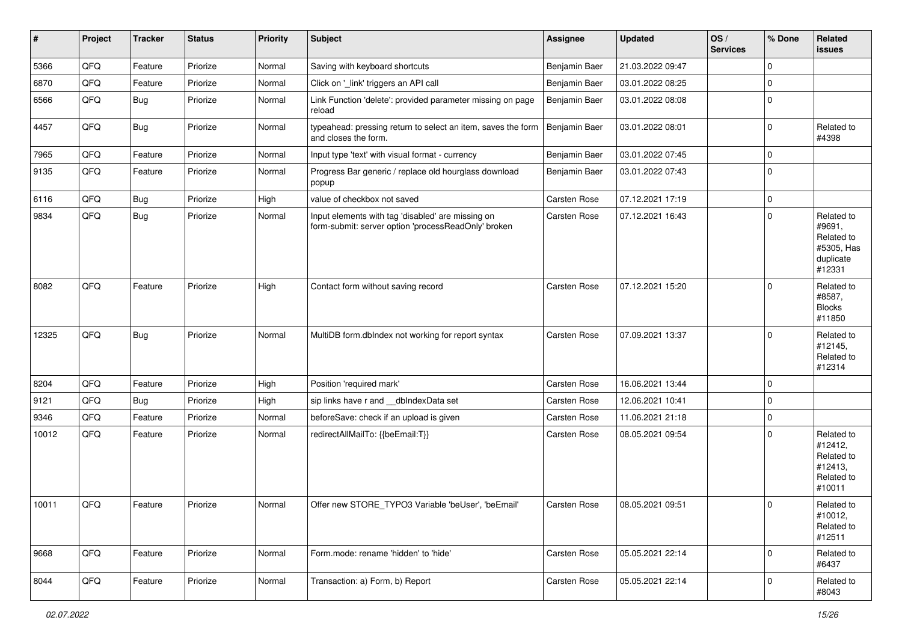| $\vert$ # | Project | <b>Tracker</b> | <b>Status</b> | Priority | <b>Subject</b>                                                                                           | <b>Assignee</b> | <b>Updated</b>   | OS/<br><b>Services</b> | % Done      | Related<br>issues                                                       |
|-----------|---------|----------------|---------------|----------|----------------------------------------------------------------------------------------------------------|-----------------|------------------|------------------------|-------------|-------------------------------------------------------------------------|
| 5366      | QFQ     | Feature        | Priorize      | Normal   | Saving with keyboard shortcuts                                                                           | Benjamin Baer   | 21.03.2022 09:47 |                        | 0           |                                                                         |
| 6870      | QFQ     | Feature        | Priorize      | Normal   | Click on '_link' triggers an API call                                                                    | Benjamin Baer   | 03.01.2022 08:25 |                        | 0           |                                                                         |
| 6566      | QFQ     | <b>Bug</b>     | Priorize      | Normal   | Link Function 'delete': provided parameter missing on page<br>reload                                     | Benjamin Baer   | 03.01.2022 08:08 |                        | $\mathbf 0$ |                                                                         |
| 4457      | QFQ     | <b>Bug</b>     | Priorize      | Normal   | typeahead: pressing return to select an item, saves the form<br>and closes the form.                     | Benjamin Baer   | 03.01.2022 08:01 |                        | 0           | Related to<br>#4398                                                     |
| 7965      | QFQ     | Feature        | Priorize      | Normal   | Input type 'text' with visual format - currency                                                          | Benjamin Baer   | 03.01.2022 07:45 |                        | 0           |                                                                         |
| 9135      | QFQ     | Feature        | Priorize      | Normal   | Progress Bar generic / replace old hourglass download<br>popup                                           | Benjamin Baer   | 03.01.2022 07:43 |                        | $\mathbf 0$ |                                                                         |
| 6116      | QFQ     | <b>Bug</b>     | Priorize      | High     | value of checkbox not saved                                                                              | Carsten Rose    | 07.12.2021 17:19 |                        | 0           |                                                                         |
| 9834      | QFQ     | <b>Bug</b>     | Priorize      | Normal   | Input elements with tag 'disabled' are missing on<br>form-submit: server option 'processReadOnly' broken | Carsten Rose    | 07.12.2021 16:43 |                        | 0           | Related to<br>#9691,<br>Related to<br>#5305, Has<br>duplicate<br>#12331 |
| 8082      | QFQ     | Feature        | Priorize      | High     | Contact form without saving record                                                                       | Carsten Rose    | 07.12.2021 15:20 |                        | $\Omega$    | Related to<br>#8587,<br><b>Blocks</b><br>#11850                         |
| 12325     | QFQ     | <b>Bug</b>     | Priorize      | Normal   | MultiDB form.dblndex not working for report syntax                                                       | Carsten Rose    | 07.09.2021 13:37 |                        | $\Omega$    | Related to<br>#12145,<br>Related to<br>#12314                           |
| 8204      | QFQ     | Feature        | Priorize      | High     | Position 'required mark'                                                                                 | Carsten Rose    | 16.06.2021 13:44 |                        | $\mathbf 0$ |                                                                         |
| 9121      | QFQ     | Bug            | Priorize      | High     | sip links have r and __dbIndexData set                                                                   | Carsten Rose    | 12.06.2021 10:41 |                        | $\mathbf 0$ |                                                                         |
| 9346      | QFQ     | Feature        | Priorize      | Normal   | beforeSave: check if an upload is given                                                                  | Carsten Rose    | 11.06.2021 21:18 |                        | 0           |                                                                         |
| 10012     | QFQ     | Feature        | Priorize      | Normal   | redirectAllMailTo: {{beEmail:T}}                                                                         | Carsten Rose    | 08.05.2021 09:54 |                        | $\mathbf 0$ | Related to<br>#12412,<br>Related to<br>#12413,<br>Related to<br>#10011  |
| 10011     | QFQ     | Feature        | Priorize      | Normal   | Offer new STORE TYPO3 Variable 'beUser', 'beEmail'                                                       | Carsten Rose    | 08.05.2021 09:51 |                        | $\Omega$    | Related to<br>#10012,<br>Related to<br>#12511                           |
| 9668      | QFQ     | Feature        | Priorize      | Normal   | Form.mode: rename 'hidden' to 'hide'                                                                     | Carsten Rose    | 05.05.2021 22:14 |                        | $\mathbf 0$ | Related to<br>#6437                                                     |
| 8044      | QFQ     | Feature        | Priorize      | Normal   | Transaction: a) Form, b) Report                                                                          | Carsten Rose    | 05.05.2021 22:14 |                        | $\mathbf 0$ | Related to<br>#8043                                                     |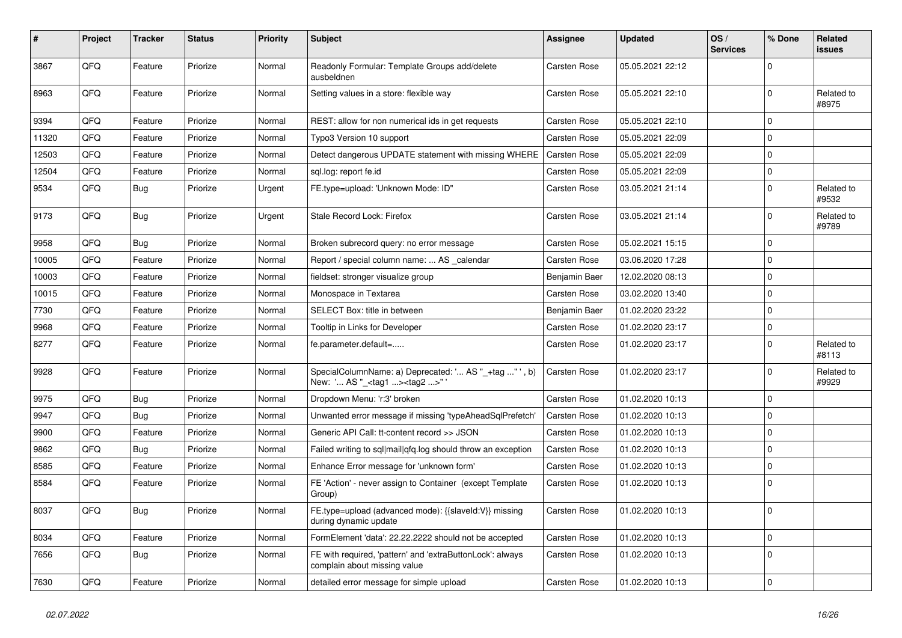| #     | Project | <b>Tracker</b> | <b>Status</b> | <b>Priority</b> | <b>Subject</b>                                                                                    | Assignee            | <b>Updated</b>   | OS/<br><b>Services</b> | % Done         | <b>Related</b><br><b>issues</b> |
|-------|---------|----------------|---------------|-----------------|---------------------------------------------------------------------------------------------------|---------------------|------------------|------------------------|----------------|---------------------------------|
| 3867  | QFQ     | Feature        | Priorize      | Normal          | Readonly Formular: Template Groups add/delete<br>ausbeldnen                                       | Carsten Rose        | 05.05.2021 22:12 |                        | $\mathbf 0$    |                                 |
| 8963  | QFQ     | Feature        | Priorize      | Normal          | Setting values in a store: flexible way                                                           | Carsten Rose        | 05.05.2021 22:10 |                        | $\mathbf 0$    | Related to<br>#8975             |
| 9394  | QFQ     | Feature        | Priorize      | Normal          | REST: allow for non numerical ids in get requests                                                 | <b>Carsten Rose</b> | 05.05.2021 22:10 |                        | 0              |                                 |
| 11320 | QFQ     | Feature        | Priorize      | Normal          | Typo3 Version 10 support                                                                          | Carsten Rose        | 05.05.2021 22:09 |                        | $\overline{0}$ |                                 |
| 12503 | QFQ     | Feature        | Priorize      | Normal          | Detect dangerous UPDATE statement with missing WHERE                                              | <b>Carsten Rose</b> | 05.05.2021 22:09 |                        | $\overline{0}$ |                                 |
| 12504 | QFQ     | Feature        | Priorize      | Normal          | sql.log: report fe.id                                                                             | Carsten Rose        | 05.05.2021 22:09 |                        | $\overline{0}$ |                                 |
| 9534  | QFQ     | Bug            | Priorize      | Urgent          | FE.type=upload: 'Unknown Mode: ID"                                                                | <b>Carsten Rose</b> | 03.05.2021 21:14 |                        | $\mathbf 0$    | Related to<br>#9532             |
| 9173  | QFQ     | Bug            | Priorize      | Urgent          | Stale Record Lock: Firefox                                                                        | Carsten Rose        | 03.05.2021 21:14 |                        | 0              | Related to<br>#9789             |
| 9958  | QFQ     | Bug            | Priorize      | Normal          | Broken subrecord query: no error message                                                          | Carsten Rose        | 05.02.2021 15:15 |                        | 0              |                                 |
| 10005 | QFQ     | Feature        | Priorize      | Normal          | Report / special column name:  AS calendar                                                        | Carsten Rose        | 03.06.2020 17:28 |                        | $\overline{0}$ |                                 |
| 10003 | QFQ     | Feature        | Priorize      | Normal          | fieldset: stronger visualize group                                                                | Benjamin Baer       | 12.02.2020 08:13 |                        | $\overline{0}$ |                                 |
| 10015 | QFQ     | Feature        | Priorize      | Normal          | Monospace in Textarea                                                                             | Carsten Rose        | 03.02.2020 13:40 |                        | 0              |                                 |
| 7730  | QFQ     | Feature        | Priorize      | Normal          | SELECT Box: title in between                                                                      | Benjamin Baer       | 01.02.2020 23:22 |                        | 0              |                                 |
| 9968  | QFQ     | Feature        | Priorize      | Normal          | Tooltip in Links for Developer                                                                    | Carsten Rose        | 01.02.2020 23:17 |                        | 0              |                                 |
| 8277  | QFQ     | Feature        | Priorize      | Normal          | fe.parameter.default=                                                                             | <b>Carsten Rose</b> | 01.02.2020 23:17 |                        | 0              | Related to<br>#8113             |
| 9928  | QFQ     | Feature        | Priorize      | Normal          | SpecialColumnName: a) Deprecated: ' AS " +tag "', b)<br>New: ' AS "_ <tag1><tag2>"'</tag2></tag1> | <b>Carsten Rose</b> | 01.02.2020 23:17 |                        | $\overline{0}$ | Related to<br>#9929             |
| 9975  | QFQ     | <b>Bug</b>     | Priorize      | Normal          | Dropdown Menu: 'r:3' broken                                                                       | Carsten Rose        | 01.02.2020 10:13 |                        | $\overline{0}$ |                                 |
| 9947  | QFQ     | <b>Bug</b>     | Priorize      | Normal          | Unwanted error message if missing 'typeAheadSqlPrefetch'                                          | Carsten Rose        | 01.02.2020 10:13 |                        | $\overline{0}$ |                                 |
| 9900  | QFQ     | Feature        | Priorize      | Normal          | Generic API Call: tt-content record >> JSON                                                       | <b>Carsten Rose</b> | 01.02.2020 10:13 |                        | 0              |                                 |
| 9862  | QFQ     | <b>Bug</b>     | Priorize      | Normal          | Failed writing to sql mail qfq.log should throw an exception                                      | <b>Carsten Rose</b> | 01.02.2020 10:13 |                        | $\overline{0}$ |                                 |
| 8585  | QFQ     | Feature        | Priorize      | Normal          | Enhance Error message for 'unknown form'                                                          | Carsten Rose        | 01.02.2020 10:13 |                        | 0              |                                 |
| 8584  | QFQ     | Feature        | Priorize      | Normal          | FE 'Action' - never assign to Container (except Template)<br>Group)                               | Carsten Rose        | 01.02.2020 10:13 |                        | $\Omega$       |                                 |
| 8037  | QFQ     | <b>Bug</b>     | Priorize      | Normal          | FE.type=upload (advanced mode): {{slaveId:V}} missing<br>during dynamic update                    | <b>Carsten Rose</b> | 01.02.2020 10:13 |                        | $\overline{0}$ |                                 |
| 8034  | QFQ     | Feature        | Priorize      | Normal          | FormElement 'data': 22.22.2222 should not be accepted                                             | Carsten Rose        | 01.02.2020 10:13 |                        | 0              |                                 |
| 7656  | QFQ     | Bug            | Priorize      | Normal          | FE with required, 'pattern' and 'extraButtonLock': always<br>complain about missing value         | Carsten Rose        | 01.02.2020 10:13 |                        | $\overline{0}$ |                                 |
| 7630  | QFQ     | Feature        | Priorize      | Normal          | detailed error message for simple upload                                                          | Carsten Rose        | 01.02.2020 10:13 |                        | 0              |                                 |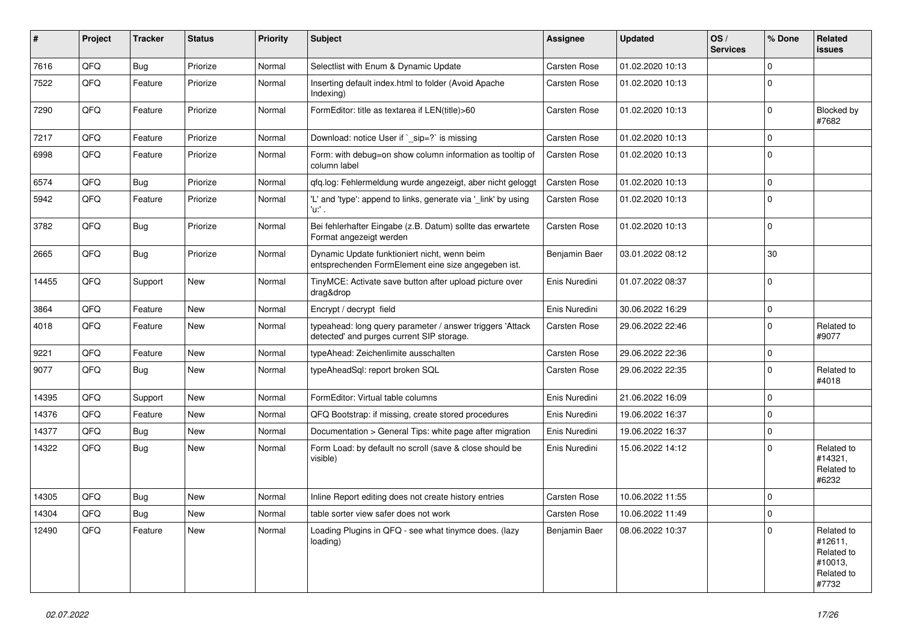| #     | Project | <b>Tracker</b> | <b>Status</b> | <b>Priority</b> | Subject                                                                                                | <b>Assignee</b>     | <b>Updated</b>   | OS/<br><b>Services</b> | % Done      | Related<br><b>issues</b>                                              |
|-------|---------|----------------|---------------|-----------------|--------------------------------------------------------------------------------------------------------|---------------------|------------------|------------------------|-------------|-----------------------------------------------------------------------|
| 7616  | QFQ     | <b>Bug</b>     | Priorize      | Normal          | Selectlist with Enum & Dynamic Update                                                                  | Carsten Rose        | 01.02.2020 10:13 |                        | $\mathbf 0$ |                                                                       |
| 7522  | QFQ     | Feature        | Priorize      | Normal          | Inserting default index.html to folder (Avoid Apache<br>Indexing)                                      | Carsten Rose        | 01.02.2020 10:13 |                        | $\mathbf 0$ |                                                                       |
| 7290  | QFQ     | Feature        | Priorize      | Normal          | FormEditor: title as textarea if LEN(title)>60                                                         | Carsten Rose        | 01.02.2020 10:13 |                        | $\mathbf 0$ | Blocked by<br>#7682                                                   |
| 7217  | QFQ     | Feature        | Priorize      | Normal          | Download: notice User if `_sip=?` is missing                                                           | Carsten Rose        | 01.02.2020 10:13 |                        | $\mathbf 0$ |                                                                       |
| 6998  | QFQ     | Feature        | Priorize      | Normal          | Form: with debug=on show column information as tooltip of<br>column label                              | <b>Carsten Rose</b> | 01.02.2020 10:13 |                        | $\mathbf 0$ |                                                                       |
| 6574  | QFQ     | Bug            | Priorize      | Normal          | qfq.log: Fehlermeldung wurde angezeigt, aber nicht geloggt                                             | Carsten Rose        | 01.02.2020 10:13 |                        | $\mathbf 0$ |                                                                       |
| 5942  | QFQ     | Feature        | Priorize      | Normal          | 'L' and 'type': append to links, generate via '_link' by using<br>'u.' .                               | Carsten Rose        | 01.02.2020 10:13 |                        | 0           |                                                                       |
| 3782  | QFQ     | <b>Bug</b>     | Priorize      | Normal          | Bei fehlerhafter Eingabe (z.B. Datum) sollte das erwartete<br>Format angezeigt werden                  | Carsten Rose        | 01.02.2020 10:13 |                        | $\mathbf 0$ |                                                                       |
| 2665  | QFQ     | <b>Bug</b>     | Priorize      | Normal          | Dynamic Update funktioniert nicht, wenn beim<br>entsprechenden FormElement eine size angegeben ist.    | Benjamin Baer       | 03.01.2022 08:12 |                        | 30          |                                                                       |
| 14455 | QFQ     | Support        | <b>New</b>    | Normal          | TinyMCE: Activate save button after upload picture over<br>drag&drop                                   | Enis Nuredini       | 01.07.2022 08:37 |                        | $\mathbf 0$ |                                                                       |
| 3864  | QFQ     | Feature        | <b>New</b>    | Normal          | Encrypt / decrypt field                                                                                | Enis Nuredini       | 30.06.2022 16:29 |                        | $\mathbf 0$ |                                                                       |
| 4018  | QFQ     | Feature        | <b>New</b>    | Normal          | typeahead: long query parameter / answer triggers 'Attack<br>detected' and purges current SIP storage. | Carsten Rose        | 29.06.2022 22:46 |                        | $\mathbf 0$ | Related to<br>#9077                                                   |
| 9221  | QFQ     | Feature        | <b>New</b>    | Normal          | typeAhead: Zeichenlimite ausschalten                                                                   | Carsten Rose        | 29.06.2022 22:36 |                        | 0           |                                                                       |
| 9077  | QFQ     | <b>Bug</b>     | <b>New</b>    | Normal          | typeAheadSql: report broken SQL                                                                        | <b>Carsten Rose</b> | 29.06.2022 22:35 |                        | $\mathbf 0$ | Related to<br>#4018                                                   |
| 14395 | QFQ     | Support        | <b>New</b>    | Normal          | FormEditor: Virtual table columns                                                                      | Enis Nuredini       | 21.06.2022 16:09 |                        | $\mathbf 0$ |                                                                       |
| 14376 | QFQ     | Feature        | New           | Normal          | QFQ Bootstrap: if missing, create stored procedures                                                    | Enis Nuredini       | 19.06.2022 16:37 |                        | 0           |                                                                       |
| 14377 | QFQ     | <b>Bug</b>     | <b>New</b>    | Normal          | Documentation > General Tips: white page after migration                                               | Enis Nuredini       | 19.06.2022 16:37 |                        | $\mathbf 0$ |                                                                       |
| 14322 | QFQ     | Bug            | New           | Normal          | Form Load: by default no scroll (save & close should be<br>visible)                                    | Enis Nuredini       | 15.06.2022 14:12 |                        | $\mathbf 0$ | Related to<br>#14321,<br>Related to<br>#6232                          |
| 14305 | QFQ     | Bug            | New           | Normal          | Inline Report editing does not create history entries                                                  | Carsten Rose        | 10.06.2022 11:55 |                        | $\Omega$    |                                                                       |
| 14304 | QFQ     | Bug            | New           | Normal          | table sorter view safer does not work                                                                  | Carsten Rose        | 10.06.2022 11:49 |                        | 0           |                                                                       |
| 12490 | QFQ     | Feature        | New           | Normal          | Loading Plugins in QFQ - see what tinymce does. (lazy<br>loading)                                      | Benjamin Baer       | 08.06.2022 10:37 |                        | $\Omega$    | Related to<br>#12611,<br>Related to<br>#10013,<br>Related to<br>#7732 |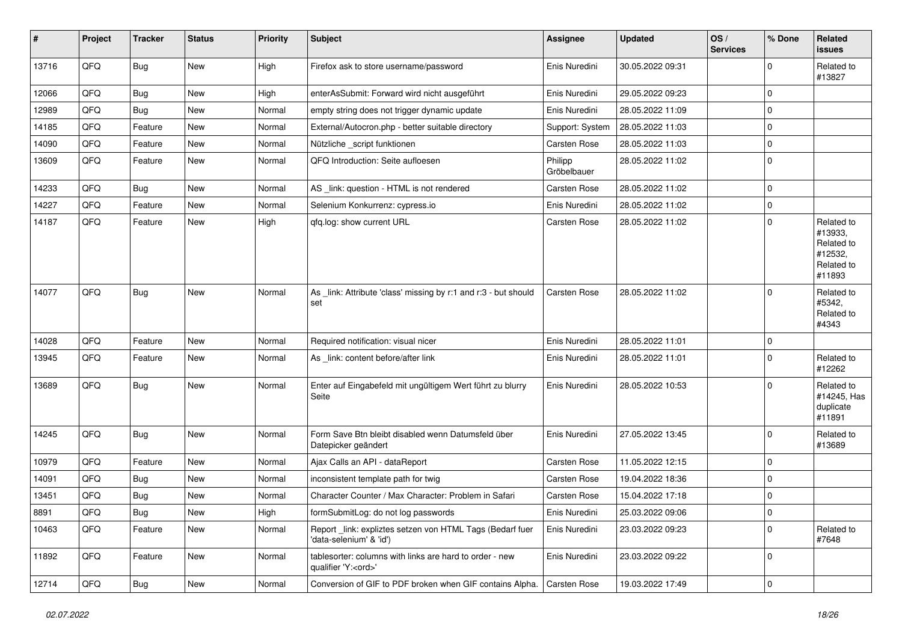| #     | Project | <b>Tracker</b> | <b>Status</b> | <b>Priority</b> | <b>Subject</b>                                                                        | Assignee               | <b>Updated</b>   | OS/<br><b>Services</b> | % Done      | Related<br>issues                                                      |
|-------|---------|----------------|---------------|-----------------|---------------------------------------------------------------------------------------|------------------------|------------------|------------------------|-------------|------------------------------------------------------------------------|
| 13716 | QFQ     | <b>Bug</b>     | <b>New</b>    | High            | Firefox ask to store username/password                                                | Enis Nuredini          | 30.05.2022 09:31 |                        | $\Omega$    | Related to<br>#13827                                                   |
| 12066 | QFQ     | Bug            | <b>New</b>    | High            | enterAsSubmit: Forward wird nicht ausgeführt                                          | Enis Nuredini          | 29.05.2022 09:23 |                        | $\Omega$    |                                                                        |
| 12989 | QFQ     | Bug            | New           | Normal          | empty string does not trigger dynamic update                                          | Enis Nuredini          | 28.05.2022 11:09 |                        | $\mathbf 0$ |                                                                        |
| 14185 | QFQ     | Feature        | New           | Normal          | External/Autocron.php - better suitable directory                                     | Support: System        | 28.05.2022 11:03 |                        | $\mathbf 0$ |                                                                        |
| 14090 | QFQ     | Feature        | <b>New</b>    | Normal          | Nützliche _script funktionen                                                          | Carsten Rose           | 28.05.2022 11:03 |                        | $\mathbf 0$ |                                                                        |
| 13609 | QFQ     | Feature        | New           | Normal          | QFQ Introduction: Seite aufloesen                                                     | Philipp<br>Gröbelbauer | 28.05.2022 11:02 |                        | $\mathbf 0$ |                                                                        |
| 14233 | QFQ     | <b>Bug</b>     | New           | Normal          | AS _link: question - HTML is not rendered                                             | Carsten Rose           | 28.05.2022 11:02 |                        | $\mathbf 0$ |                                                                        |
| 14227 | QFQ     | Feature        | New           | Normal          | Selenium Konkurrenz: cypress.io                                                       | Enis Nuredini          | 28.05.2022 11:02 |                        | $\mathbf 0$ |                                                                        |
| 14187 | QFQ     | Feature        | New           | High            | qfq.log: show current URL                                                             | Carsten Rose           | 28.05.2022 11:02 |                        | $\mathbf 0$ | Related to<br>#13933,<br>Related to<br>#12532,<br>Related to<br>#11893 |
| 14077 | QFQ     | Bug            | <b>New</b>    | Normal          | As _link: Attribute 'class' missing by r:1 and r:3 - but should<br>set                | <b>Carsten Rose</b>    | 28.05.2022 11:02 |                        | $\Omega$    | Related to<br>#5342,<br>Related to<br>#4343                            |
| 14028 | QFQ     | Feature        | New           | Normal          | Required notification: visual nicer                                                   | Enis Nuredini          | 28.05.2022 11:01 |                        | $\mathbf 0$ |                                                                        |
| 13945 | QFQ     | Feature        | New           | Normal          | As _link: content before/after link                                                   | Enis Nuredini          | 28.05.2022 11:01 |                        | $\Omega$    | Related to<br>#12262                                                   |
| 13689 | QFQ     | Bug            | New           | Normal          | Enter auf Eingabefeld mit ungültigem Wert führt zu blurry<br>Seite                    | Enis Nuredini          | 28.05.2022 10:53 |                        | $\Omega$    | Related to<br>#14245, Has<br>duplicate<br>#11891                       |
| 14245 | QFQ     | <b>Bug</b>     | <b>New</b>    | Normal          | Form Save Btn bleibt disabled wenn Datumsfeld über<br>Datepicker geändert             | Enis Nuredini          | 27.05.2022 13:45 |                        | $\mathbf 0$ | Related to<br>#13689                                                   |
| 10979 | QFQ     | Feature        | New           | Normal          | Ajax Calls an API - dataReport                                                        | Carsten Rose           | 11.05.2022 12:15 |                        | $\mathbf 0$ |                                                                        |
| 14091 | QFQ     | <b>Bug</b>     | New           | Normal          | inconsistent template path for twig                                                   | Carsten Rose           | 19.04.2022 18:36 |                        | $\mathbf 0$ |                                                                        |
| 13451 | QFQ     | Bug            | New           | Normal          | Character Counter / Max Character: Problem in Safari                                  | Carsten Rose           | 15.04.2022 17:18 |                        | 0           |                                                                        |
| 8891  | QFQ     | Bug            | New           | High            | formSubmitLog: do not log passwords                                                   | Enis Nuredini          | 25.03.2022 09:06 |                        | 0           |                                                                        |
| 10463 | QFQ     | Feature        | New           | Normal          | Report _link: expliztes setzen von HTML Tags (Bedarf fuer<br>'data-selenium' & 'id')  | Enis Nuredini          | 23.03.2022 09:23 |                        | $\mathbf 0$ | Related to<br>#7648                                                    |
| 11892 | QFQ     | Feature        | New           | Normal          | tablesorter: columns with links are hard to order - new<br>qualifier 'Y: <ord>'</ord> | Enis Nuredini          | 23.03.2022 09:22 |                        | $\mathbf 0$ |                                                                        |
| 12714 | QFQ     | <b>Bug</b>     | New           | Normal          | Conversion of GIF to PDF broken when GIF contains Alpha.                              | Carsten Rose           | 19.03.2022 17:49 |                        | $\pmb{0}$   |                                                                        |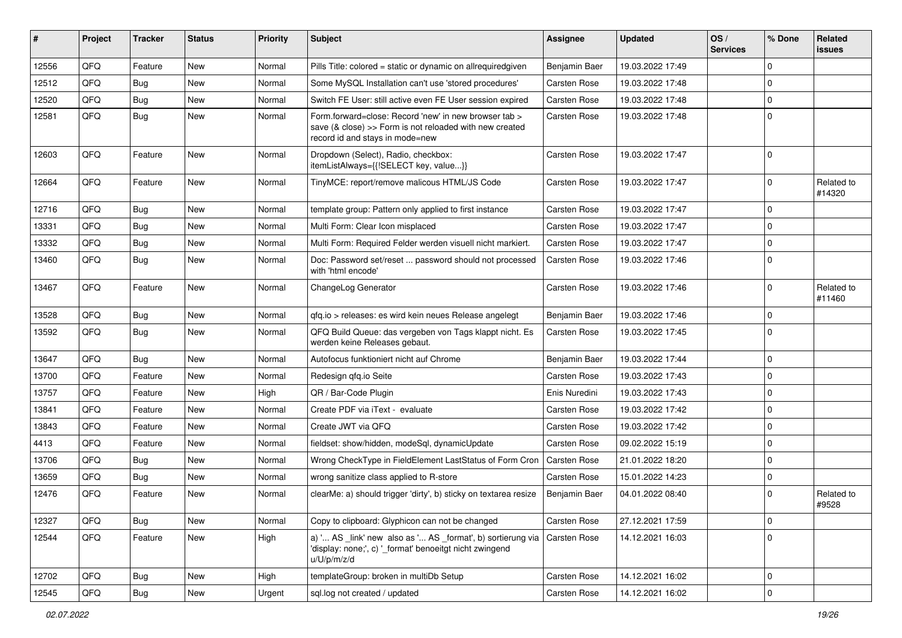| #     | Project | Tracker    | <b>Status</b> | <b>Priority</b> | <b>Subject</b>                                                                                                                                      | <b>Assignee</b>     | <b>Updated</b>   | OS/<br><b>Services</b> | % Done              | Related<br><b>issues</b> |
|-------|---------|------------|---------------|-----------------|-----------------------------------------------------------------------------------------------------------------------------------------------------|---------------------|------------------|------------------------|---------------------|--------------------------|
| 12556 | QFQ     | Feature    | <b>New</b>    | Normal          | Pills Title: colored = static or dynamic on allrequiredgiven                                                                                        | Benjamin Baer       | 19.03.2022 17:49 |                        | $\mathbf 0$         |                          |
| 12512 | QFQ     | <b>Bug</b> | New           | Normal          | Some MySQL Installation can't use 'stored procedures'                                                                                               | <b>Carsten Rose</b> | 19.03.2022 17:48 |                        | $\mathbf 0$         |                          |
| 12520 | QFQ     | <b>Bug</b> | New           | Normal          | Switch FE User: still active even FE User session expired                                                                                           | <b>Carsten Rose</b> | 19.03.2022 17:48 |                        | $\mathbf 0$         |                          |
| 12581 | QFQ     | <b>Bug</b> | New           | Normal          | Form.forward=close: Record 'new' in new browser tab ><br>save (& close) >> Form is not reloaded with new created<br>record id and stays in mode=new | Carsten Rose        | 19.03.2022 17:48 |                        | $\mathbf 0$         |                          |
| 12603 | QFQ     | Feature    | <b>New</b>    | Normal          | Dropdown (Select), Radio, checkbox:<br>itemListAlways={{!SELECT key, value}}                                                                        | <b>Carsten Rose</b> | 19.03.2022 17:47 |                        | $\mathbf 0$         |                          |
| 12664 | QFQ     | Feature    | New           | Normal          | TinyMCE: report/remove malicous HTML/JS Code                                                                                                        | <b>Carsten Rose</b> | 19.03.2022 17:47 |                        | $\mathbf 0$         | Related to<br>#14320     |
| 12716 | QFQ     | <b>Bug</b> | <b>New</b>    | Normal          | template group: Pattern only applied to first instance                                                                                              | <b>Carsten Rose</b> | 19.03.2022 17:47 |                        | $\mathbf 0$         |                          |
| 13331 | QFQ     | <b>Bug</b> | New           | Normal          | Multi Form: Clear Icon misplaced                                                                                                                    | <b>Carsten Rose</b> | 19.03.2022 17:47 |                        | $\mathbf 0$         |                          |
| 13332 | QFQ     | <b>Bug</b> | New           | Normal          | Multi Form: Required Felder werden visuell nicht markiert.                                                                                          | <b>Carsten Rose</b> | 19.03.2022 17:47 |                        | $\mathbf 0$         |                          |
| 13460 | QFQ     | <b>Bug</b> | New           | Normal          | Doc: Password set/reset  password should not processed<br>with 'html encode'                                                                        | <b>Carsten Rose</b> | 19.03.2022 17:46 |                        | $\mathbf 0$         |                          |
| 13467 | QFQ     | Feature    | New           | Normal          | ChangeLog Generator                                                                                                                                 | <b>Carsten Rose</b> | 19.03.2022 17:46 |                        | $\mathbf 0$         | Related to<br>#11460     |
| 13528 | QFQ     | Bug        | New           | Normal          | qfq.io > releases: es wird kein neues Release angelegt                                                                                              | Benjamin Baer       | 19.03.2022 17:46 |                        | $\mathbf 0$         |                          |
| 13592 | QFQ     | Bug        | New           | Normal          | QFQ Build Queue: das vergeben von Tags klappt nicht. Es<br>werden keine Releases gebaut.                                                            | <b>Carsten Rose</b> | 19.03.2022 17:45 |                        | $\mathbf 0$         |                          |
| 13647 | QFQ     | Bug        | New           | Normal          | Autofocus funktioniert nicht auf Chrome                                                                                                             | Benjamin Baer       | 19.03.2022 17:44 |                        | $\mathbf 0$         |                          |
| 13700 | QFQ     | Feature    | New           | Normal          | Redesign qfq.io Seite                                                                                                                               | <b>Carsten Rose</b> | 19.03.2022 17:43 |                        | $\mathbf 0$         |                          |
| 13757 | QFQ     | Feature    | New           | High            | QR / Bar-Code Plugin                                                                                                                                | Enis Nuredini       | 19.03.2022 17:43 |                        | $\mathbf 0$         |                          |
| 13841 | QFQ     | Feature    | New           | Normal          | Create PDF via iText - evaluate                                                                                                                     | <b>Carsten Rose</b> | 19.03.2022 17:42 |                        | $\mathbf 0$         |                          |
| 13843 | QFQ     | Feature    | New           | Normal          | Create JWT via QFQ                                                                                                                                  | <b>Carsten Rose</b> | 19.03.2022 17:42 |                        | $\mathbf 0$         |                          |
| 4413  | QFQ     | Feature    | New           | Normal          | fieldset: show/hidden, modeSql, dynamicUpdate                                                                                                       | <b>Carsten Rose</b> | 09.02.2022 15:19 |                        | $\mathbf 0$         |                          |
| 13706 | QFQ     | <b>Bug</b> | <b>New</b>    | Normal          | Wrong CheckType in FieldElement LastStatus of Form Cron                                                                                             | <b>Carsten Rose</b> | 21.01.2022 18:20 |                        | $\mathbf 0$         |                          |
| 13659 | QFQ     | <b>Bug</b> | New           | Normal          | wrong sanitize class applied to R-store                                                                                                             | Carsten Rose        | 15.01.2022 14:23 |                        | $\mathbf 0$         |                          |
| 12476 | QFQ     | Feature    | New           | Normal          | clearMe: a) should trigger 'dirty', b) sticky on textarea resize                                                                                    | Benjamin Baer       | 04.01.2022 08:40 |                        | $\mathbf 0$         | Related to<br>#9528      |
| 12327 | QFQ     | Bug        | New           | Normal          | Copy to clipboard: Glyphicon can not be changed                                                                                                     | Carsten Rose        | 27.12.2021 17:59 |                        | $\mathsf{O}\xspace$ |                          |
| 12544 | QFQ     | Feature    | New           | High            | a) ' AS _link' new also as ' AS _format', b) sortierung via<br>'display: none;', c) '_format' benoeitgt nicht zwingend<br>u/U/p/m/z/d               | <b>Carsten Rose</b> | 14.12.2021 16:03 |                        | $\mathbf 0$         |                          |
| 12702 | QFQ     | <b>Bug</b> | New           | High            | templateGroup: broken in multiDb Setup                                                                                                              | Carsten Rose        | 14.12.2021 16:02 |                        | $\mathbf 0$         |                          |
| 12545 | QFG     | Bug        | New           | Urgent          | sql.log not created / updated                                                                                                                       | Carsten Rose        | 14.12.2021 16:02 |                        | $\mathsf{O}\xspace$ |                          |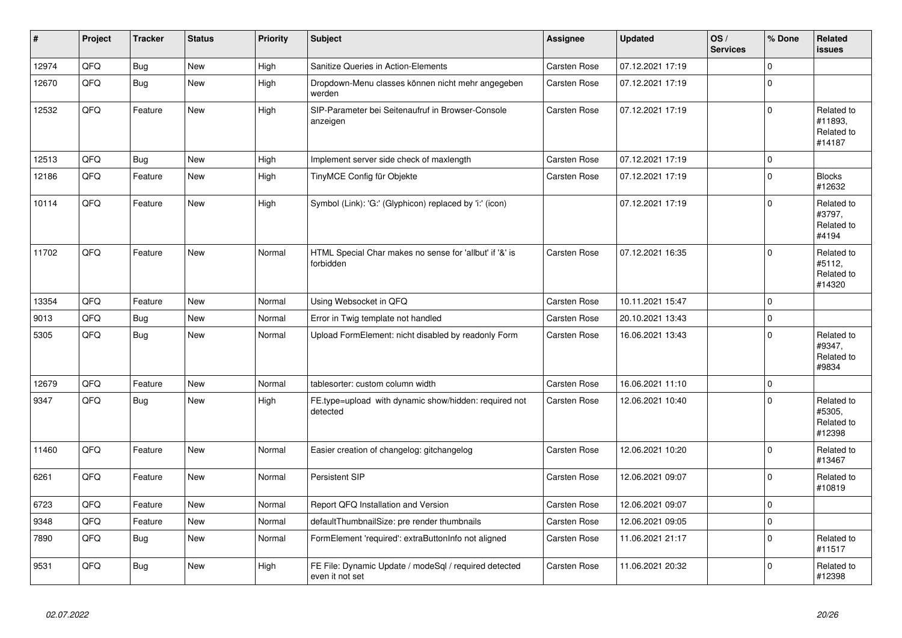| $\pmb{\sharp}$ | Project | <b>Tracker</b> | <b>Status</b> | <b>Priority</b> | <b>Subject</b>                                                           | Assignee            | <b>Updated</b>   | OS/<br><b>Services</b> | % Done      | Related<br><b>issues</b>                      |
|----------------|---------|----------------|---------------|-----------------|--------------------------------------------------------------------------|---------------------|------------------|------------------------|-------------|-----------------------------------------------|
| 12974          | QFQ     | <b>Bug</b>     | <b>New</b>    | High            | Sanitize Queries in Action-Elements                                      | <b>Carsten Rose</b> | 07.12.2021 17:19 |                        | $\mathbf 0$ |                                               |
| 12670          | QFQ     | <b>Bug</b>     | <b>New</b>    | High            | Dropdown-Menu classes können nicht mehr angegeben<br>werden              | Carsten Rose        | 07.12.2021 17:19 |                        | $\mathbf 0$ |                                               |
| 12532          | QFQ     | Feature        | <b>New</b>    | High            | SIP-Parameter bei Seitenaufruf in Browser-Console<br>anzeigen            | <b>Carsten Rose</b> | 07.12.2021 17:19 |                        | $\mathbf 0$ | Related to<br>#11893,<br>Related to<br>#14187 |
| 12513          | QFQ     | <b>Bug</b>     | <b>New</b>    | High            | Implement server side check of maxlength                                 | Carsten Rose        | 07.12.2021 17:19 |                        | $\pmb{0}$   |                                               |
| 12186          | QFQ     | Feature        | New           | High            | TinyMCE Config für Objekte                                               | <b>Carsten Rose</b> | 07.12.2021 17:19 |                        | $\mathbf 0$ | <b>Blocks</b><br>#12632                       |
| 10114          | QFQ     | Feature        | <b>New</b>    | High            | Symbol (Link): 'G:' (Glyphicon) replaced by 'i:' (icon)                  |                     | 07.12.2021 17:19 |                        | $\mathbf 0$ | Related to<br>#3797,<br>Related to<br>#4194   |
| 11702          | QFQ     | Feature        | New           | Normal          | HTML Special Char makes no sense for 'allbut' if '&' is<br>forbidden     | Carsten Rose        | 07.12.2021 16:35 |                        | $\mathbf 0$ | Related to<br>#5112,<br>Related to<br>#14320  |
| 13354          | QFQ     | Feature        | <b>New</b>    | Normal          | Using Websocket in QFQ                                                   | <b>Carsten Rose</b> | 10.11.2021 15:47 |                        | $\mathbf 0$ |                                               |
| 9013           | QFQ     | <b>Bug</b>     | <b>New</b>    | Normal          | Error in Twig template not handled                                       | Carsten Rose        | 20.10.2021 13:43 |                        | $\pmb{0}$   |                                               |
| 5305           | QFQ     | <b>Bug</b>     | <b>New</b>    | Normal          | Upload FormElement: nicht disabled by readonly Form                      | Carsten Rose        | 16.06.2021 13:43 |                        | $\Omega$    | Related to<br>#9347,<br>Related to<br>#9834   |
| 12679          | QFQ     | Feature        | New           | Normal          | tablesorter: custom column width                                         | Carsten Rose        | 16.06.2021 11:10 |                        | $\mathbf 0$ |                                               |
| 9347           | QFQ     | <b>Bug</b>     | New           | High            | FE.type=upload with dynamic show/hidden: required not<br>detected        | <b>Carsten Rose</b> | 12.06.2021 10:40 |                        | $\Omega$    | Related to<br>#5305.<br>Related to<br>#12398  |
| 11460          | QFQ     | Feature        | <b>New</b>    | Normal          | Easier creation of changelog: gitchangelog                               | <b>Carsten Rose</b> | 12.06.2021 10:20 |                        | $\mathbf 0$ | Related to<br>#13467                          |
| 6261           | QFQ     | Feature        | New           | Normal          | Persistent SIP                                                           | <b>Carsten Rose</b> | 12.06.2021 09:07 |                        | $\mathbf 0$ | Related to<br>#10819                          |
| 6723           | QFQ     | Feature        | <b>New</b>    | Normal          | Report QFQ Installation and Version                                      | Carsten Rose        | 12.06.2021 09:07 |                        | $\mathbf 0$ |                                               |
| 9348           | QFQ     | Feature        | New           | Normal          | defaultThumbnailSize: pre render thumbnails                              | Carsten Rose        | 12.06.2021 09:05 |                        | $\mathbf 0$ |                                               |
| 7890           | QFQ     | <b>Bug</b>     | New           | Normal          | FormElement 'required': extraButtonInfo not aligned                      | Carsten Rose        | 11.06.2021 21:17 |                        | $\pmb{0}$   | Related to<br>#11517                          |
| 9531           | QFQ     | Bug            | <b>New</b>    | High            | FE File: Dynamic Update / modeSgl / required detected<br>even it not set | Carsten Rose        | 11.06.2021 20:32 |                        | $\Omega$    | Related to<br>#12398                          |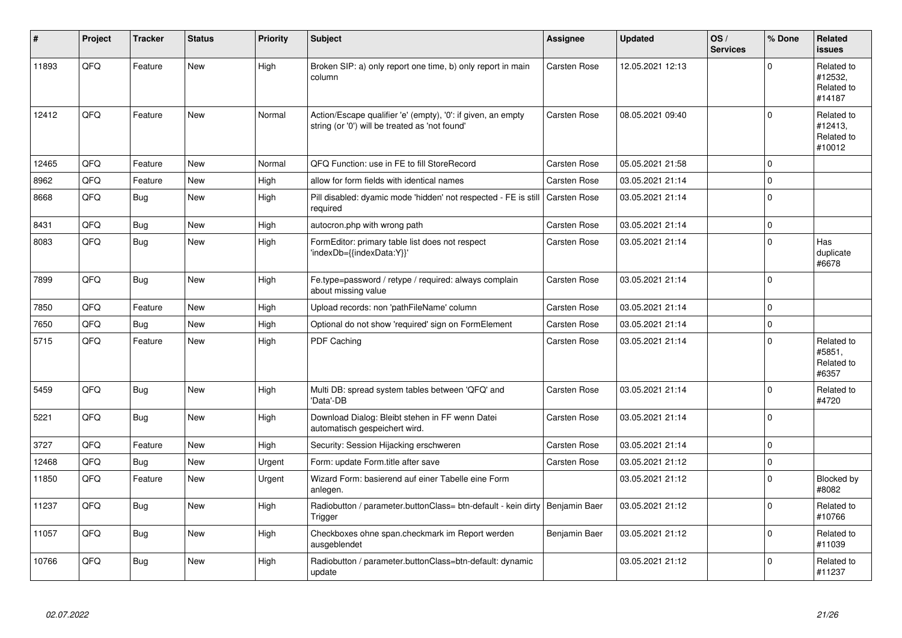| #     | Project | <b>Tracker</b> | <b>Status</b> | <b>Priority</b> | <b>Subject</b>                                                                                                 | Assignee            | <b>Updated</b>   | OS/<br><b>Services</b> | % Done      | Related<br><b>issues</b>                      |
|-------|---------|----------------|---------------|-----------------|----------------------------------------------------------------------------------------------------------------|---------------------|------------------|------------------------|-------------|-----------------------------------------------|
| 11893 | QFQ     | Feature        | <b>New</b>    | High            | Broken SIP: a) only report one time, b) only report in main<br>column                                          | <b>Carsten Rose</b> | 12.05.2021 12:13 |                        | $\Omega$    | Related to<br>#12532,<br>Related to<br>#14187 |
| 12412 | QFQ     | Feature        | <b>New</b>    | Normal          | Action/Escape qualifier 'e' (empty), '0': if given, an empty<br>string (or '0') will be treated as 'not found' | <b>Carsten Rose</b> | 08.05.2021 09:40 |                        | $\Omega$    | Related to<br>#12413.<br>Related to<br>#10012 |
| 12465 | QFQ     | Feature        | New           | Normal          | QFQ Function: use in FE to fill StoreRecord                                                                    | Carsten Rose        | 05.05.2021 21:58 |                        | $\Omega$    |                                               |
| 8962  | QFQ     | Feature        | <b>New</b>    | High            | allow for form fields with identical names                                                                     | Carsten Rose        | 03.05.2021 21:14 |                        | $\mathbf 0$ |                                               |
| 8668  | QFQ     | <b>Bug</b>     | New           | High            | Pill disabled: dyamic mode 'hidden' not respected - FE is still<br>required                                    | <b>Carsten Rose</b> | 03.05.2021 21:14 |                        | $\mathbf 0$ |                                               |
| 8431  | QFQ     | <b>Bug</b>     | New           | High            | autocron.php with wrong path                                                                                   | <b>Carsten Rose</b> | 03.05.2021 21:14 |                        | $\pmb{0}$   |                                               |
| 8083  | QFQ     | <b>Bug</b>     | <b>New</b>    | High            | FormEditor: primary table list does not respect<br>'indexDb={{indexData:Y}}'                                   | Carsten Rose        | 03.05.2021 21:14 |                        | $\Omega$    | Has<br>duplicate<br>#6678                     |
| 7899  | QFQ     | <b>Bug</b>     | New           | High            | Fe.type=password / retype / required: always complain<br>about missing value                                   | <b>Carsten Rose</b> | 03.05.2021 21:14 |                        | $\Omega$    |                                               |
| 7850  | QFQ     | Feature        | <b>New</b>    | High            | Upload records: non 'pathFileName' column                                                                      | Carsten Rose        | 03.05.2021 21:14 |                        | $\Omega$    |                                               |
| 7650  | QFQ     | <b>Bug</b>     | <b>New</b>    | High            | Optional do not show 'required' sign on FormElement                                                            | Carsten Rose        | 03.05.2021 21:14 |                        | $\pmb{0}$   |                                               |
| 5715  | QFQ     | Feature        | New           | High            | PDF Caching                                                                                                    | Carsten Rose        | 03.05.2021 21:14 |                        | $\Omega$    | Related to<br>#5851,<br>Related to<br>#6357   |
| 5459  | QFQ     | Bug            | <b>New</b>    | High            | Multi DB: spread system tables between 'QFQ' and<br>'Data'-DB                                                  | <b>Carsten Rose</b> | 03.05.2021 21:14 |                        | $\mathbf 0$ | Related to<br>#4720                           |
| 5221  | QFQ     | <b>Bug</b>     | <b>New</b>    | High            | Download Dialog: Bleibt stehen in FF wenn Datei<br>automatisch gespeichert wird.                               | Carsten Rose        | 03.05.2021 21:14 |                        | $\mathbf 0$ |                                               |
| 3727  | QFQ     | Feature        | <b>New</b>    | High            | Security: Session Hijacking erschweren                                                                         | Carsten Rose        | 03.05.2021 21:14 |                        | $\Omega$    |                                               |
| 12468 | QFQ     | <b>Bug</b>     | <b>New</b>    | Urgent          | Form: update Form.title after save                                                                             | Carsten Rose        | 03.05.2021 21:12 |                        | $\mathbf 0$ |                                               |
| 11850 | QFQ     | Feature        | <b>New</b>    | Urgent          | Wizard Form: basierend auf einer Tabelle eine Form<br>anlegen.                                                 |                     | 03.05.2021 21:12 |                        | $\Omega$    | <b>Blocked by</b><br>#8082                    |
| 11237 | QFQ     | <b>Bug</b>     | <b>New</b>    | High            | Radiobutton / parameter.buttonClass= btn-default - kein dirty   Benjamin Baer<br>Trigger                       |                     | 03.05.2021 21:12 |                        | $\mathbf 0$ | Related to<br>#10766                          |
| 11057 | QFQ     | <b>Bug</b>     | <b>New</b>    | High            | Checkboxes ohne span.checkmark im Report werden<br>ausgeblendet                                                | Benjamin Baer       | 03.05.2021 21:12 |                        | $\Omega$    | Related to<br>#11039                          |
| 10766 | QFQ     | Bug            | New           | High            | Radiobutton / parameter.buttonClass=btn-default: dynamic<br>update                                             |                     | 03.05.2021 21:12 |                        | $\mathbf 0$ | Related to<br>#11237                          |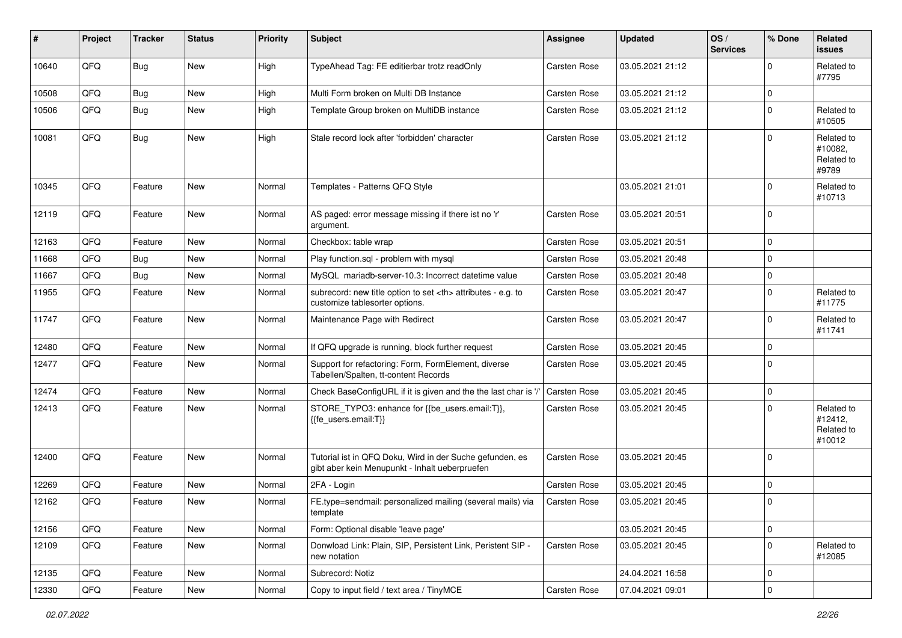| #     | Project | <b>Tracker</b> | <b>Status</b> | <b>Priority</b> | Subject                                                                                                    | Assignee                                               | <b>Updated</b>   | OS/<br><b>Services</b> | % Done      | Related<br><b>issues</b>                      |                      |
|-------|---------|----------------|---------------|-----------------|------------------------------------------------------------------------------------------------------------|--------------------------------------------------------|------------------|------------------------|-------------|-----------------------------------------------|----------------------|
| 10640 | QFQ     | Bug            | <b>New</b>    | High            | TypeAhead Tag: FE editierbar trotz readOnly                                                                | Carsten Rose                                           | 03.05.2021 21:12 |                        | $\Omega$    | Related to<br>#7795                           |                      |
| 10508 | QFQ     | <b>Bug</b>     | <b>New</b>    | High            | Multi Form broken on Multi DB Instance                                                                     | Carsten Rose                                           | 03.05.2021 21:12 |                        | $\mathbf 0$ |                                               |                      |
| 10506 | QFQ     | Bug            | <b>New</b>    | High            | Template Group broken on MultiDB instance                                                                  | <b>Carsten Rose</b>                                    | 03.05.2021 21:12 |                        | $\Omega$    | Related to<br>#10505                          |                      |
| 10081 | QFQ     | Bug            | New           | High            | Stale record lock after 'forbidden' character                                                              | Carsten Rose                                           | 03.05.2021 21:12 |                        | $\Omega$    | Related to<br>#10082,<br>Related to<br>#9789  |                      |
| 10345 | QFQ     | Feature        | New           | Normal          | Templates - Patterns QFQ Style                                                                             |                                                        | 03.05.2021 21:01 |                        | $\mathbf 0$ | Related to<br>#10713                          |                      |
| 12119 | QFQ     | Feature        | New           | Normal          | AS paged: error message missing if there ist no 'r'<br>argument.                                           | Carsten Rose                                           | 03.05.2021 20:51 |                        | $\mathbf 0$ |                                               |                      |
| 12163 | QFQ     | Feature        | <b>New</b>    | Normal          | Checkbox: table wrap                                                                                       | Carsten Rose                                           | 03.05.2021 20:51 |                        | $\mathbf 0$ |                                               |                      |
| 11668 | QFQ     | Bug            | <b>New</b>    | Normal          | Play function.sql - problem with mysql                                                                     | Carsten Rose                                           | 03.05.2021 20:48 |                        | $\mathbf 0$ |                                               |                      |
| 11667 | QFQ     | <b>Bug</b>     | <b>New</b>    | Normal          | MySQL mariadb-server-10.3: Incorrect datetime value                                                        | Carsten Rose                                           | 03.05.2021 20:48 |                        | $\mathbf 0$ |                                               |                      |
| 11955 | QFQ     | Feature        | New           | Normal          | subrecord: new title option to set <th> attributes - e.g. to<br/>customize tablesorter options.</th>       | attributes - e.g. to<br>customize tablesorter options. | Carsten Rose     | 03.05.2021 20:47       |             | $\mathbf 0$                                   | Related to<br>#11775 |
| 11747 | QFQ     | Feature        | New           | Normal          | Maintenance Page with Redirect                                                                             | Carsten Rose                                           | 03.05.2021 20:47 |                        | $\Omega$    | Related to<br>#11741                          |                      |
| 12480 | QFQ     | Feature        | New           | Normal          | If QFQ upgrade is running, block further request                                                           | Carsten Rose                                           | 03.05.2021 20:45 |                        | $\mathbf 0$ |                                               |                      |
| 12477 | QFQ     | Feature        | New           | Normal          | Support for refactoring: Form, FormElement, diverse<br>Tabellen/Spalten, tt-content Records                | Carsten Rose                                           | 03.05.2021 20:45 |                        | $\Omega$    |                                               |                      |
| 12474 | QFQ     | Feature        | New           | Normal          | Check BaseConfigURL if it is given and the the last char is '/                                             | <b>Carsten Rose</b>                                    | 03.05.2021 20:45 |                        | $\mathbf 0$ |                                               |                      |
| 12413 | QFQ     | Feature        | New           | Normal          | STORE_TYPO3: enhance for {{be_users.email:T}},<br>{{fe_users.email:T}}                                     | Carsten Rose                                           | 03.05.2021 20:45 |                        | $\mathbf 0$ | Related to<br>#12412,<br>Related to<br>#10012 |                      |
| 12400 | QFQ     | Feature        | <b>New</b>    | Normal          | Tutorial ist in QFQ Doku, Wird in der Suche gefunden, es<br>gibt aber kein Menupunkt - Inhalt ueberpruefen | Carsten Rose                                           | 03.05.2021 20:45 |                        | $\Omega$    |                                               |                      |
| 12269 | QFQ     | Feature        | <b>New</b>    | Normal          | 2FA - Login                                                                                                | Carsten Rose                                           | 03.05.2021 20:45 |                        | $\mathbf 0$ |                                               |                      |
| 12162 | QFQ     | Feature        | New           | Normal          | FE.type=sendmail: personalized mailing (several mails) via<br>template                                     | Carsten Rose                                           | 03.05.2021 20:45 |                        | 0           |                                               |                      |
| 12156 | QFQ     | Feature        | New           | Normal          | Form: Optional disable 'leave page'                                                                        |                                                        | 03.05.2021 20:45 |                        | $\mathbf 0$ |                                               |                      |
| 12109 | QFQ     | Feature        | New           | Normal          | Donwload Link: Plain, SIP, Persistent Link, Peristent SIP -<br>new notation                                | Carsten Rose                                           | 03.05.2021 20:45 |                        | $\mathbf 0$ | Related to<br>#12085                          |                      |
| 12135 | QFQ     | Feature        | New           | Normal          | Subrecord: Notiz                                                                                           |                                                        | 24.04.2021 16:58 |                        | $\mathbf 0$ |                                               |                      |
| 12330 | QFQ     | Feature        | New           | Normal          | Copy to input field / text area / TinyMCE                                                                  | Carsten Rose                                           | 07.04.2021 09:01 |                        | $\pmb{0}$   |                                               |                      |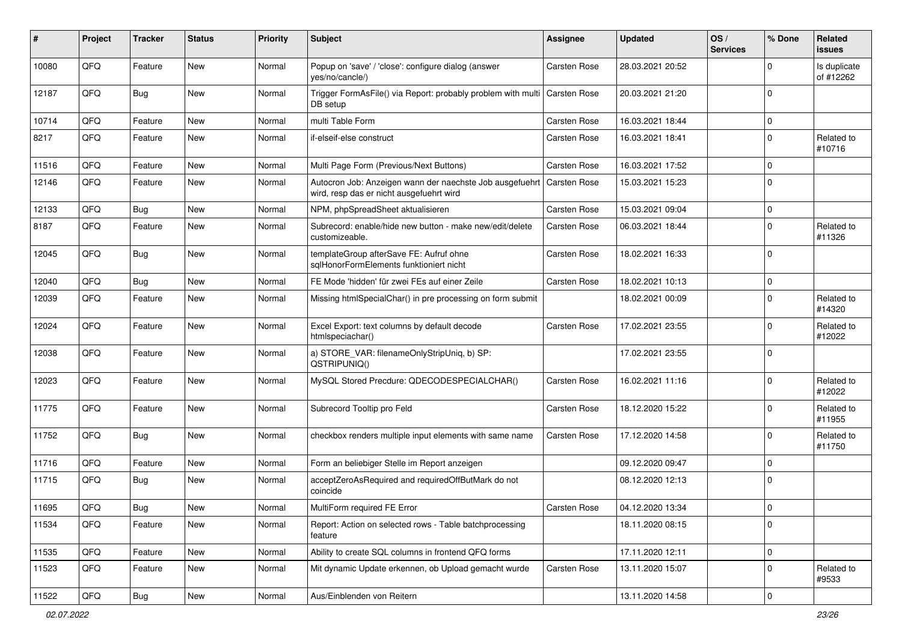| ∦     | Project | <b>Tracker</b> | <b>Status</b> | <b>Priority</b> | <b>Subject</b>                                                                                       | Assignee            | <b>Updated</b>   | OS/<br><b>Services</b> | % Done      | <b>Related</b><br><b>issues</b> |
|-------|---------|----------------|---------------|-----------------|------------------------------------------------------------------------------------------------------|---------------------|------------------|------------------------|-------------|---------------------------------|
| 10080 | QFQ     | Feature        | New           | Normal          | Popup on 'save' / 'close': configure dialog (answer<br>yes/no/cancle/)                               | Carsten Rose        | 28.03.2021 20:52 |                        | $\Omega$    | Is duplicate<br>of #12262       |
| 12187 | QFQ     | <b>Bug</b>     | New           | Normal          | Trigger FormAsFile() via Report: probably problem with multi   Carsten Rose<br>DB setup              |                     | 20.03.2021 21:20 |                        | $\mathbf 0$ |                                 |
| 10714 | QFQ     | Feature        | New           | Normal          | multi Table Form                                                                                     | Carsten Rose        | 16.03.2021 18:44 |                        | $\mathbf 0$ |                                 |
| 8217  | QFQ     | Feature        | New           | Normal          | if-elseif-else construct                                                                             | Carsten Rose        | 16.03.2021 18:41 |                        | $\mathbf 0$ | Related to<br>#10716            |
| 11516 | QFQ     | Feature        | New           | Normal          | Multi Page Form (Previous/Next Buttons)                                                              | Carsten Rose        | 16.03.2021 17:52 |                        | $\mathbf 0$ |                                 |
| 12146 | QFQ     | Feature        | <b>New</b>    | Normal          | Autocron Job: Anzeigen wann der naechste Job ausgefuehrt<br>wird, resp das er nicht ausgefuehrt wird | <b>Carsten Rose</b> | 15.03.2021 15:23 |                        | $\mathbf 0$ |                                 |
| 12133 | QFQ     | <b>Bug</b>     | <b>New</b>    | Normal          | NPM, phpSpreadSheet aktualisieren                                                                    | Carsten Rose        | 15.03.2021 09:04 |                        | $\mathbf 0$ |                                 |
| 8187  | QFQ     | Feature        | New           | Normal          | Subrecord: enable/hide new button - make new/edit/delete<br>customizeable.                           | Carsten Rose        | 06.03.2021 18:44 |                        | $\mathbf 0$ | Related to<br>#11326            |
| 12045 | QFQ     | <b>Bug</b>     | <b>New</b>    | Normal          | templateGroup afterSave FE: Aufruf ohne<br>sglHonorFormElements funktioniert nicht                   | Carsten Rose        | 18.02.2021 16:33 |                        | $\mathbf 0$ |                                 |
| 12040 | QFQ     | Bug            | New           | Normal          | FE Mode 'hidden' für zwei FEs auf einer Zeile                                                        | Carsten Rose        | 18.02.2021 10:13 |                        | $\mathbf 0$ |                                 |
| 12039 | QFQ     | Feature        | <b>New</b>    | Normal          | Missing htmlSpecialChar() in pre processing on form submit                                           |                     | 18.02.2021 00:09 |                        | $\mathbf 0$ | Related to<br>#14320            |
| 12024 | QFQ     | Feature        | <b>New</b>    | Normal          | Excel Export: text columns by default decode<br>htmlspeciachar()                                     | Carsten Rose        | 17.02.2021 23:55 |                        | $\mathbf 0$ | Related to<br>#12022            |
| 12038 | QFQ     | Feature        | <b>New</b>    | Normal          | a) STORE_VAR: filenameOnlyStripUniq, b) SP:<br>QSTRIPUNIQ()                                          |                     | 17.02.2021 23:55 |                        | $\mathbf 0$ |                                 |
| 12023 | QFQ     | Feature        | New           | Normal          | MySQL Stored Precdure: QDECODESPECIALCHAR()                                                          | Carsten Rose        | 16.02.2021 11:16 |                        | $\mathbf 0$ | Related to<br>#12022            |
| 11775 | QFQ     | Feature        | <b>New</b>    | Normal          | Subrecord Tooltip pro Feld                                                                           | Carsten Rose        | 18.12.2020 15:22 |                        | $\mathbf 0$ | Related to<br>#11955            |
| 11752 | QFQ     | <b>Bug</b>     | <b>New</b>    | Normal          | checkbox renders multiple input elements with same name                                              | Carsten Rose        | 17.12.2020 14:58 |                        | $\mathbf 0$ | Related to<br>#11750            |
| 11716 | QFQ     | Feature        | <b>New</b>    | Normal          | Form an beliebiger Stelle im Report anzeigen                                                         |                     | 09.12.2020 09:47 |                        | $\mathbf 0$ |                                 |
| 11715 | QFQ     | Bug            | <b>New</b>    | Normal          | acceptZeroAsRequired and requiredOffButMark do not<br>coincide                                       |                     | 08.12.2020 12:13 |                        | $\Omega$    |                                 |
| 11695 | QFQ     | Bug            | <b>New</b>    | Normal          | MultiForm required FE Error                                                                          | Carsten Rose        | 04.12.2020 13:34 |                        | 0           |                                 |
| 11534 | QFQ     | Feature        | New           | Normal          | Report: Action on selected rows - Table batchprocessing<br>feature                                   |                     | 18.11.2020 08:15 |                        | $\mathbf 0$ |                                 |
| 11535 | QFQ     | Feature        | New           | Normal          | Ability to create SQL columns in frontend QFQ forms                                                  |                     | 17.11.2020 12:11 |                        | $\mathbf 0$ |                                 |
| 11523 | QFQ     | Feature        | New           | Normal          | Mit dynamic Update erkennen, ob Upload gemacht wurde                                                 | Carsten Rose        | 13.11.2020 15:07 |                        | $\mathbf 0$ | Related to<br>#9533             |
| 11522 | QFQ     | Bug            | New           | Normal          | Aus/Einblenden von Reitern                                                                           |                     | 13.11.2020 14:58 |                        | 0           |                                 |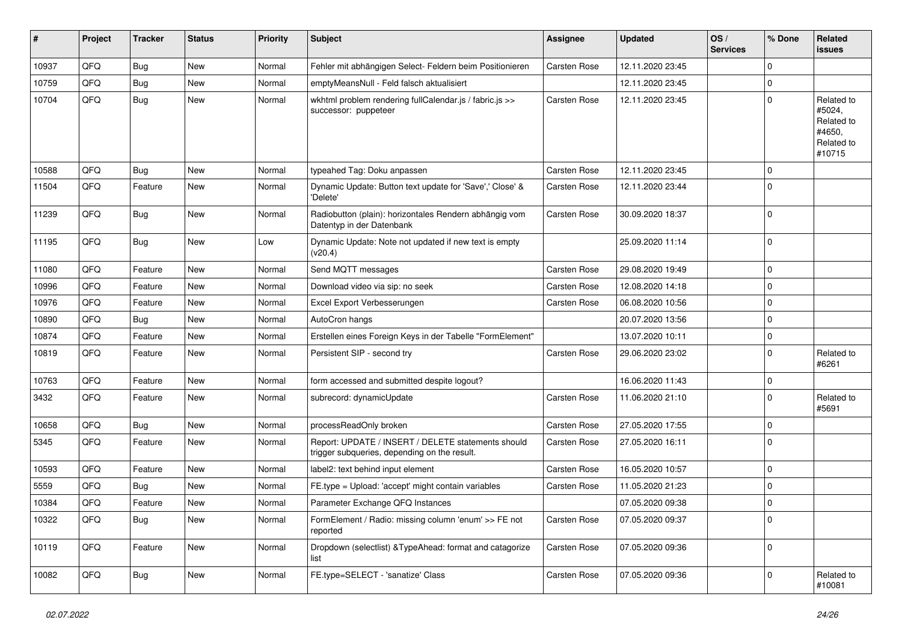| #     | Project | <b>Tracker</b> | <b>Status</b> | <b>Priority</b> | Subject                                                                                            | Assignee            | <b>Updated</b>   | OS/<br><b>Services</b> | % Done      | Related<br>issues                                                    |
|-------|---------|----------------|---------------|-----------------|----------------------------------------------------------------------------------------------------|---------------------|------------------|------------------------|-------------|----------------------------------------------------------------------|
| 10937 | QFQ     | Bug            | New           | Normal          | Fehler mit abhängigen Select- Feldern beim Positionieren                                           | Carsten Rose        | 12.11.2020 23:45 |                        | $\mathbf 0$ |                                                                      |
| 10759 | QFQ     | Bug            | New           | Normal          | emptyMeansNull - Feld falsch aktualisiert                                                          |                     | 12.11.2020 23:45 |                        | 0           |                                                                      |
| 10704 | QFQ     | <b>Bug</b>     | New           | Normal          | wkhtml problem rendering fullCalendar.js / fabric.js >><br>successor: puppeteer                    | Carsten Rose        | 12.11.2020 23:45 |                        | 0           | Related to<br>#5024,<br>Related to<br>#4650,<br>Related to<br>#10715 |
| 10588 | QFQ     | <b>Bug</b>     | <b>New</b>    | Normal          | typeahed Tag: Doku anpassen                                                                        | Carsten Rose        | 12.11.2020 23:45 |                        | $\mathbf 0$ |                                                                      |
| 11504 | QFQ     | Feature        | <b>New</b>    | Normal          | Dynamic Update: Button text update for 'Save',' Close' &<br>'Delete'                               | <b>Carsten Rose</b> | 12.11.2020 23:44 |                        | 0           |                                                                      |
| 11239 | QFQ     | Bug            | New           | Normal          | Radiobutton (plain): horizontales Rendern abhängig vom<br>Datentyp in der Datenbank                | Carsten Rose        | 30.09.2020 18:37 |                        | $\mathbf 0$ |                                                                      |
| 11195 | QFQ     | Bug            | New           | Low             | Dynamic Update: Note not updated if new text is empty<br>(v20.4)                                   |                     | 25.09.2020 11:14 |                        | $\mathbf 0$ |                                                                      |
| 11080 | QFQ     | Feature        | New           | Normal          | Send MQTT messages                                                                                 | <b>Carsten Rose</b> | 29.08.2020 19:49 |                        | $\mathbf 0$ |                                                                      |
| 10996 | QFQ     | Feature        | New           | Normal          | Download video via sip: no seek                                                                    | Carsten Rose        | 12.08.2020 14:18 |                        | 0           |                                                                      |
| 10976 | QFQ     | Feature        | New           | Normal          | Excel Export Verbesserungen                                                                        | Carsten Rose        | 06.08.2020 10:56 |                        | $\Omega$    |                                                                      |
| 10890 | QFQ     | <b>Bug</b>     | <b>New</b>    | Normal          | AutoCron hangs                                                                                     |                     | 20.07.2020 13:56 |                        | $\mathbf 0$ |                                                                      |
| 10874 | QFQ     | Feature        | <b>New</b>    | Normal          | Erstellen eines Foreign Keys in der Tabelle "FormElement"                                          |                     | 13.07.2020 10:11 |                        | 0           |                                                                      |
| 10819 | QFQ     | Feature        | New           | Normal          | Persistent SIP - second try                                                                        | Carsten Rose        | 29.06.2020 23:02 |                        | 0           | Related to<br>#6261                                                  |
| 10763 | QFQ     | Feature        | New           | Normal          | form accessed and submitted despite logout?                                                        |                     | 16.06.2020 11:43 |                        | 0           |                                                                      |
| 3432  | QFQ     | Feature        | New           | Normal          | subrecord: dynamicUpdate                                                                           | <b>Carsten Rose</b> | 11.06.2020 21:10 |                        | $\mathbf 0$ | Related to<br>#5691                                                  |
| 10658 | QFQ     | Bug            | <b>New</b>    | Normal          | processReadOnly broken                                                                             | Carsten Rose        | 27.05.2020 17:55 |                        | $\mathbf 0$ |                                                                      |
| 5345  | QFQ     | Feature        | New           | Normal          | Report: UPDATE / INSERT / DELETE statements should<br>trigger subqueries, depending on the result. | Carsten Rose        | 27.05.2020 16:11 |                        | 0           |                                                                      |
| 10593 | QFQ     | Feature        | New           | Normal          | label2: text behind input element                                                                  | Carsten Rose        | 16.05.2020 10:57 |                        | 0           |                                                                      |
| 5559  | QFQ     | <b>Bug</b>     | <b>New</b>    | Normal          | FE.type = Upload: 'accept' might contain variables                                                 | Carsten Rose        | 11.05.2020 21:23 |                        | $\mathbf 0$ |                                                                      |
| 10384 | QFQ     | Feature        | New           | Normal          | Parameter Exchange QFQ Instances                                                                   |                     | 07.05.2020 09:38 |                        | 0           |                                                                      |
| 10322 | QFQ     | <b>Bug</b>     | New           | Normal          | FormElement / Radio: missing column 'enum' >> FE not<br>reported                                   | Carsten Rose        | 07.05.2020 09:37 |                        | $\mathbf 0$ |                                                                      |
| 10119 | QFQ     | Feature        | New           | Normal          | Dropdown (selectlist) & TypeAhead: format and catagorize<br>list                                   | Carsten Rose        | 07.05.2020 09:36 |                        | $\mathbf 0$ |                                                                      |
| 10082 | QFQ     | <b>Bug</b>     | New           | Normal          | FE.type=SELECT - 'sanatize' Class                                                                  | Carsten Rose        | 07.05.2020 09:36 |                        | $\mathbf 0$ | Related to<br>#10081                                                 |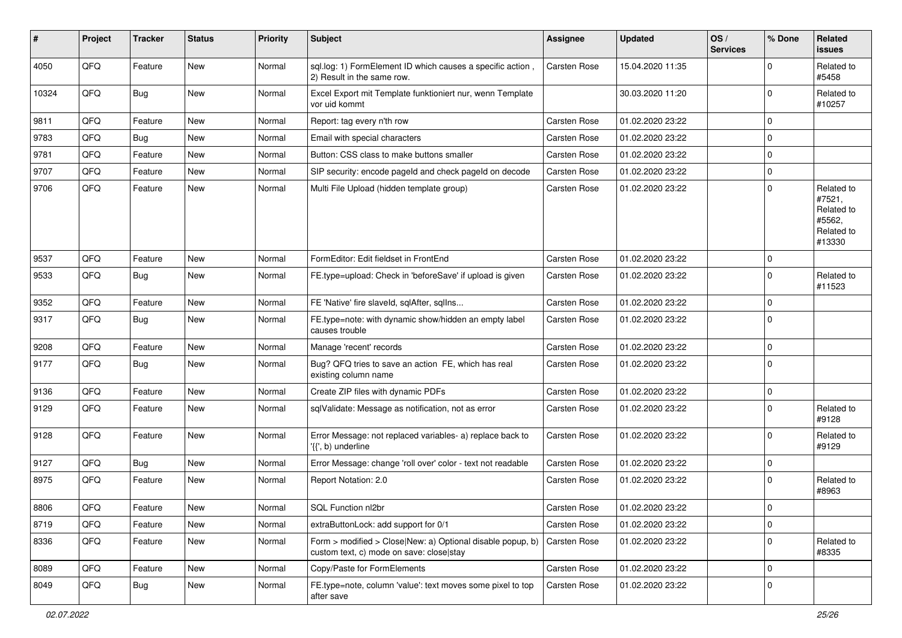| #     | Project | <b>Tracker</b> | <b>Status</b> | <b>Priority</b> | <b>Subject</b>                                                                                         | Assignee            | <b>Updated</b>   | OS/<br><b>Services</b> | % Done      | Related<br><b>issues</b>                                             |
|-------|---------|----------------|---------------|-----------------|--------------------------------------------------------------------------------------------------------|---------------------|------------------|------------------------|-------------|----------------------------------------------------------------------|
| 4050  | QFQ     | Feature        | <b>New</b>    | Normal          | sql.log: 1) FormElement ID which causes a specific action,<br>2) Result in the same row.               | Carsten Rose        | 15.04.2020 11:35 |                        | $\Omega$    | Related to<br>#5458                                                  |
| 10324 | QFQ     | Bug            | New           | Normal          | Excel Export mit Template funktioniert nur, wenn Template<br>vor uid kommt                             |                     | 30.03.2020 11:20 |                        | $\Omega$    | Related to<br>#10257                                                 |
| 9811  | QFQ     | Feature        | <b>New</b>    | Normal          | Report: tag every n'th row                                                                             | <b>Carsten Rose</b> | 01.02.2020 23:22 |                        | $\mathbf 0$ |                                                                      |
| 9783  | QFQ     | Bug            | <b>New</b>    | Normal          | Email with special characters                                                                          | Carsten Rose        | 01.02.2020 23:22 |                        | $\mathbf 0$ |                                                                      |
| 9781  | QFQ     | Feature        | New           | Normal          | Button: CSS class to make buttons smaller                                                              | Carsten Rose        | 01.02.2020 23:22 |                        | $\mathbf 0$ |                                                                      |
| 9707  | QFQ     | Feature        | New           | Normal          | SIP security: encode pageld and check pageld on decode                                                 | Carsten Rose        | 01.02.2020 23:22 |                        | $\mathbf 0$ |                                                                      |
| 9706  | QFQ     | Feature        | <b>New</b>    | Normal          | Multi File Upload (hidden template group)                                                              | Carsten Rose        | 01.02.2020 23:22 |                        | $\Omega$    | Related to<br>#7521,<br>Related to<br>#5562,<br>Related to<br>#13330 |
| 9537  | QFQ     | Feature        | <b>New</b>    | Normal          | FormEditor: Edit fieldset in FrontEnd                                                                  | <b>Carsten Rose</b> | 01.02.2020 23:22 |                        | $\Omega$    |                                                                      |
| 9533  | QFQ     | Bug            | <b>New</b>    | Normal          | FE.type=upload: Check in 'beforeSave' if upload is given                                               | Carsten Rose        | 01.02.2020 23:22 |                        | $\mathbf 0$ | Related to<br>#11523                                                 |
| 9352  | QFQ     | Feature        | <b>New</b>    | Normal          | FE 'Native' fire slaveld, sqlAfter, sqlIns                                                             | Carsten Rose        | 01.02.2020 23:22 |                        | $\mathbf 0$ |                                                                      |
| 9317  | QFQ     | Bug            | <b>New</b>    | Normal          | FE.type=note: with dynamic show/hidden an empty label<br>causes trouble                                | <b>Carsten Rose</b> | 01.02.2020 23:22 |                        | $\Omega$    |                                                                      |
| 9208  | QFQ     | Feature        | <b>New</b>    | Normal          | Manage 'recent' records                                                                                | Carsten Rose        | 01.02.2020 23:22 |                        | 0           |                                                                      |
| 9177  | QFQ     | <b>Bug</b>     | <b>New</b>    | Normal          | Bug? QFQ tries to save an action FE, which has real<br>existing column name                            | Carsten Rose        | 01.02.2020 23:22 |                        | $\Omega$    |                                                                      |
| 9136  | QFQ     | Feature        | New           | Normal          | Create ZIP files with dynamic PDFs                                                                     | Carsten Rose        | 01.02.2020 23:22 |                        | $\pmb{0}$   |                                                                      |
| 9129  | QFQ     | Feature        | New           | Normal          | sqlValidate: Message as notification, not as error                                                     | Carsten Rose        | 01.02.2020 23:22 |                        | $\mathbf 0$ | Related to<br>#9128                                                  |
| 9128  | QFQ     | Feature        | <b>New</b>    | Normal          | Error Message: not replaced variables- a) replace back to<br>'{{', b) underline                        | Carsten Rose        | 01.02.2020 23:22 |                        | $\Omega$    | Related to<br>#9129                                                  |
| 9127  | QFQ     | Bug            | New           | Normal          | Error Message: change 'roll over' color - text not readable                                            | Carsten Rose        | 01.02.2020 23:22 |                        | 0           |                                                                      |
| 8975  | QFQ     | Feature        | New           | Normal          | Report Notation: 2.0                                                                                   | Carsten Rose        | 01.02.2020 23:22 |                        | $\Omega$    | Related to<br>#8963                                                  |
| 8806  | QFQ     | Feature        | New           | Normal          | SQL Function nl2br                                                                                     | Carsten Rose        | 01.02.2020 23:22 |                        | $\mathbf 0$ |                                                                      |
| 8719  | QFQ     | Feature        | New           | Normal          | extraButtonLock: add support for 0/1                                                                   | Carsten Rose        | 01.02.2020 23:22 |                        | $\mathbf 0$ |                                                                      |
| 8336  | QFQ     | Feature        | New           | Normal          | Form > modified > Close New: a) Optional disable popup, b)<br>custom text, c) mode on save: close stay | Carsten Rose        | 01.02.2020 23:22 |                        | $\mathbf 0$ | Related to<br>#8335                                                  |
| 8089  | QFQ     | Feature        | New           | Normal          | Copy/Paste for FormElements                                                                            | Carsten Rose        | 01.02.2020 23:22 |                        | $\mathbf 0$ |                                                                      |
| 8049  | QFQ     | <b>Bug</b>     | New           | Normal          | FE.type=note, column 'value': text moves some pixel to top<br>after save                               | Carsten Rose        | 01.02.2020 23:22 |                        | 0           |                                                                      |